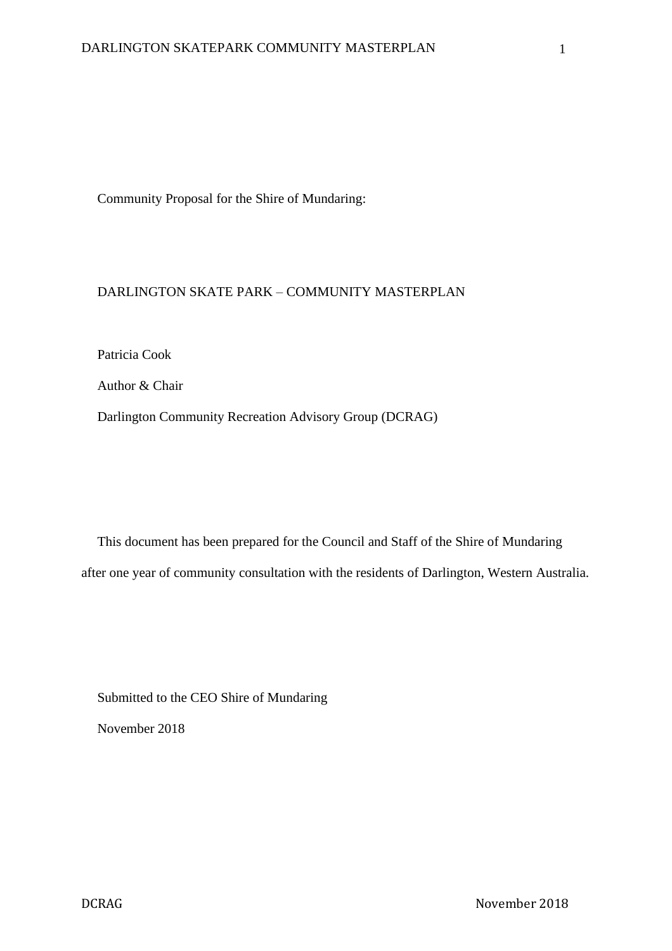Community Proposal for the Shire of Mundaring:

# DARLINGTON SKATE PARK – COMMUNITY MASTERPLAN

Patricia Cook

Author & Chair

Darlington Community Recreation Advisory Group (DCRAG)

This document has been prepared for the Council and Staff of the Shire of Mundaring after one year of community consultation with the residents of Darlington, Western Australia.

Submitted to the CEO Shire of Mundaring November 2018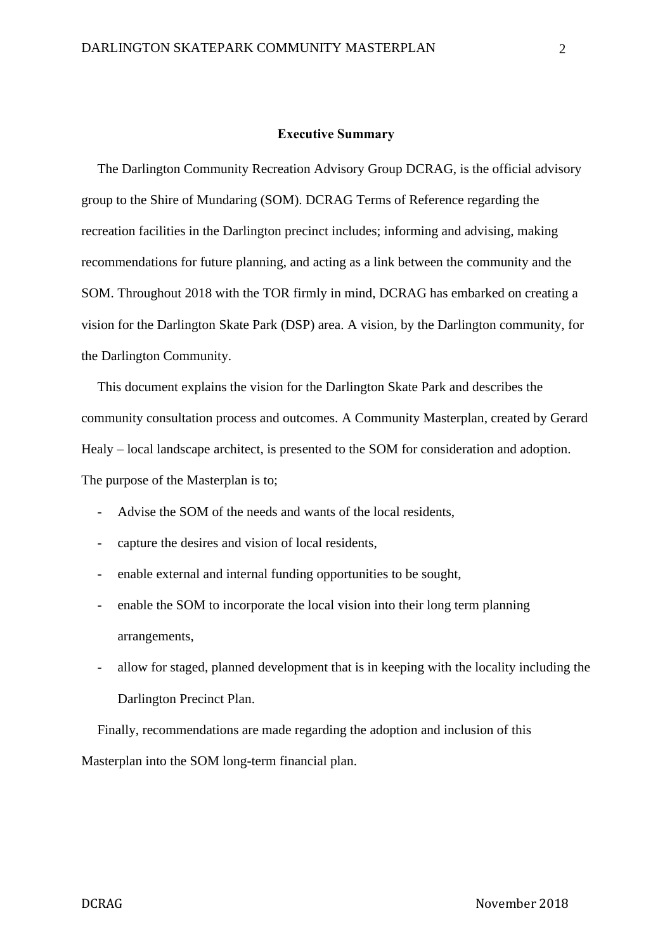#### **Executive Summary**

The Darlington Community Recreation Advisory Group DCRAG, is the official advisory group to the Shire of Mundaring (SOM). DCRAG Terms of Reference regarding the recreation facilities in the Darlington precinct includes; informing and advising, making recommendations for future planning, and acting as a link between the community and the SOM. Throughout 2018 with the TOR firmly in mind, DCRAG has embarked on creating a vision for the Darlington Skate Park (DSP) area. A vision, by the Darlington community, for the Darlington Community.

This document explains the vision for the Darlington Skate Park and describes the community consultation process and outcomes. A Community Masterplan, created by Gerard Healy – local landscape architect, is presented to the SOM for consideration and adoption. The purpose of the Masterplan is to;

- Advise the SOM of the needs and wants of the local residents,
- capture the desires and vision of local residents,
- enable external and internal funding opportunities to be sought,
- enable the SOM to incorporate the local vision into their long term planning arrangements,
- allow for staged, planned development that is in keeping with the locality including the Darlington Precinct Plan.

Finally, recommendations are made regarding the adoption and inclusion of this Masterplan into the SOM long-term financial plan.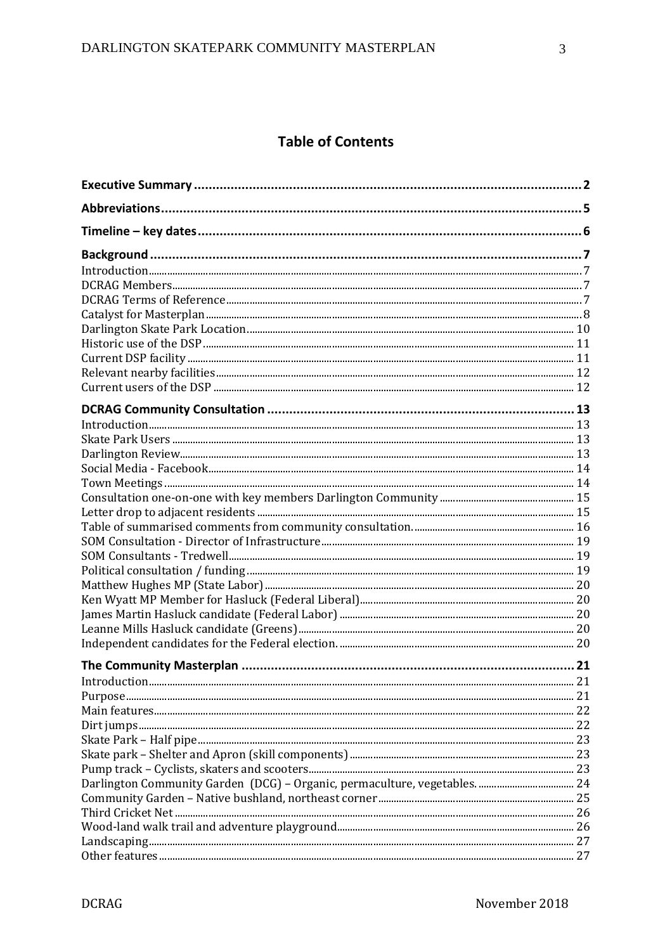# **Table of Contents**

| Introduction. |    |
|---------------|----|
|               | 21 |
|               |    |
|               |    |
|               |    |
|               |    |
|               |    |
|               |    |
|               |    |
|               |    |
|               |    |
|               |    |
|               |    |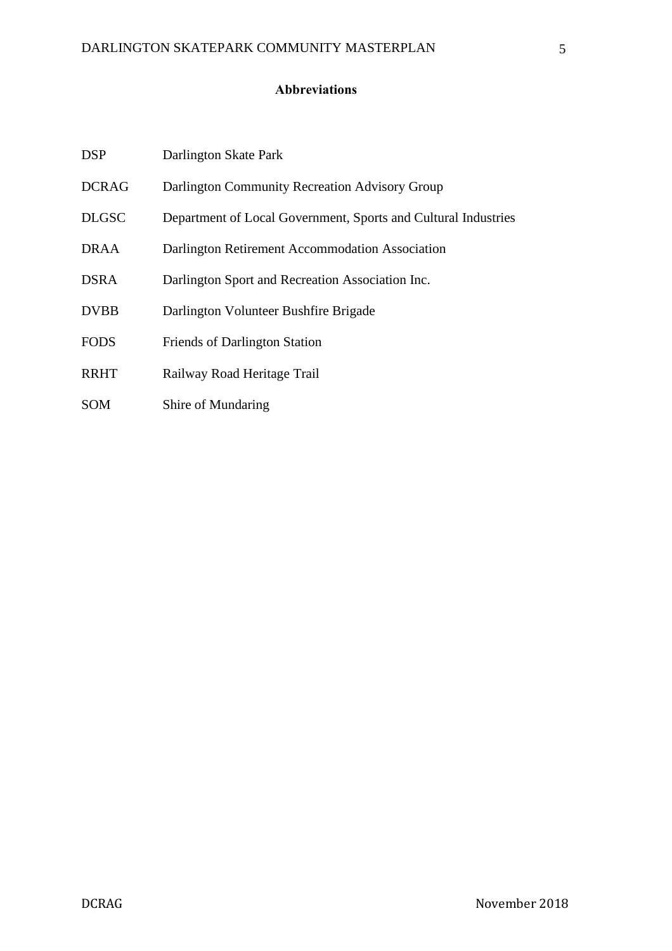# **Abbreviations**

| <b>DSP</b>   | Darlington Skate Park                                          |
|--------------|----------------------------------------------------------------|
| <b>DCRAG</b> | Darlington Community Recreation Advisory Group                 |
| <b>DLGSC</b> | Department of Local Government, Sports and Cultural Industries |
| DRAA         | Darlington Retirement Accommodation Association                |
| <b>DSRA</b>  | Darlington Sport and Recreation Association Inc.               |
| <b>DVBB</b>  | Darlington Volunteer Bushfire Brigade                          |
| <b>FODS</b>  | <b>Friends of Darlington Station</b>                           |
| <b>RRHT</b>  | Railway Road Heritage Trail                                    |
|              |                                                                |

SOM Shire of Mundaring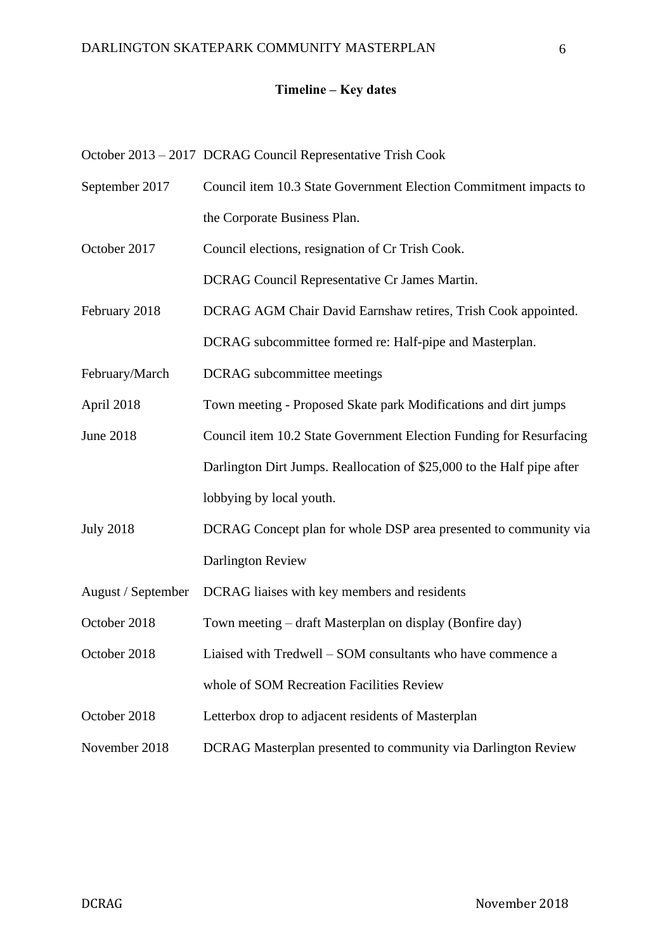### **Timeline – Key dates**

October 2013 – 2017 DCRAG Council Representative Trish Cook

September 2017 Council item 10.3 State Government Election Commitment impacts to the Corporate Business Plan.

October 2017 Council elections, resignation of Cr Trish Cook.

DCRAG Council Representative Cr James Martin.

February 2018 DCRAG AGM Chair David Earnshaw retires, Trish Cook appointed. DCRAG subcommittee formed re: Half-pipe and Masterplan.

February/March DCRAG subcommittee meetings

April 2018 Town meeting - Proposed Skate park Modifications and dirt jumps

- June 2018 Council item 10.2 State Government Election Funding for Resurfacing Darlington Dirt Jumps. Reallocation of \$25,000 to the Half pipe after lobbying by local youth.
- July 2018 DCRAG Concept plan for whole DSP area presented to community via Darlington Review
- August / September DCRAG liaises with key members and residents

October 2018 Town meeting – draft Masterplan on display (Bonfire day)

- October 2018 Liaised with Tredwell SOM consultants who have commence a whole of SOM Recreation Facilities Review
- October 2018 Letterbox drop to adjacent residents of Masterplan
- November 2018 DCRAG Masterplan presented to community via Darlington Review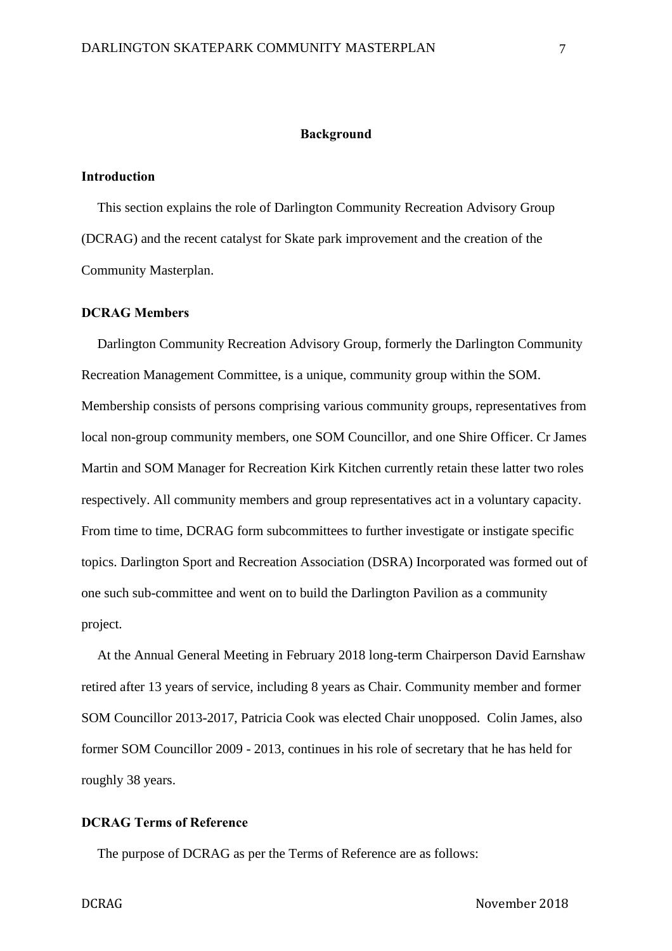#### **Background**

## **Introduction**

This section explains the role of Darlington Community Recreation Advisory Group (DCRAG) and the recent catalyst for Skate park improvement and the creation of the Community Masterplan.

## **DCRAG Members**

Darlington Community Recreation Advisory Group, formerly the Darlington Community Recreation Management Committee, is a unique, community group within the SOM. Membership consists of persons comprising various community groups, representatives from local non-group community members, one SOM Councillor, and one Shire Officer. Cr James Martin and SOM Manager for Recreation Kirk Kitchen currently retain these latter two roles respectively. All community members and group representatives act in a voluntary capacity. From time to time, DCRAG form subcommittees to further investigate or instigate specific topics. Darlington Sport and Recreation Association (DSRA) Incorporated was formed out of one such sub-committee and went on to build the Darlington Pavilion as a community project.

At the Annual General Meeting in February 2018 long-term Chairperson David Earnshaw retired after 13 years of service, including 8 years as Chair. Community member and former SOM Councillor 2013-2017, Patricia Cook was elected Chair unopposed. Colin James, also former SOM Councillor 2009 - 2013, continues in his role of secretary that he has held for roughly 38 years.

## **DCRAG Terms of Reference**

The purpose of DCRAG as per the Terms of Reference are as follows: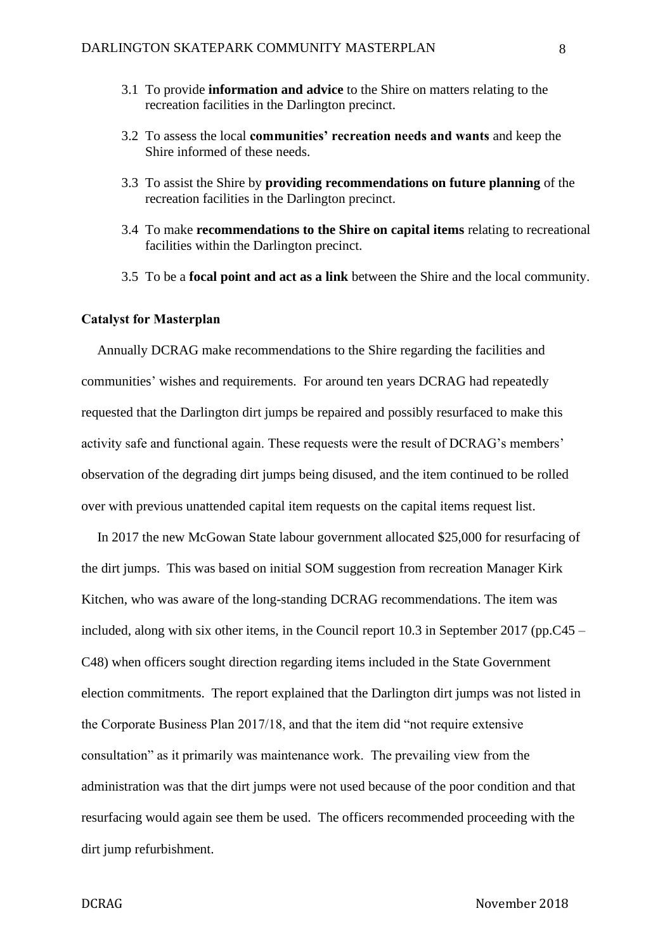- 3.1 To provide **information and advice** to the Shire on matters relating to the recreation facilities in the Darlington precinct.
- 3.2 To assess the local **communities' recreation needs and wants** and keep the Shire informed of these needs.
- 3.3 To assist the Shire by **providing recommendations on future planning** of the recreation facilities in the Darlington precinct.
- 3.4 To make **recommendations to the Shire on capital items** relating to recreational facilities within the Darlington precinct.
- 3.5 To be a **focal point and act as a link** between the Shire and the local community.

# **Catalyst for Masterplan**

Annually DCRAG make recommendations to the Shire regarding the facilities and communities' wishes and requirements. For around ten years DCRAG had repeatedly requested that the Darlington dirt jumps be repaired and possibly resurfaced to make this activity safe and functional again. These requests were the result of DCRAG's members' observation of the degrading dirt jumps being disused, and the item continued to be rolled over with previous unattended capital item requests on the capital items request list.

In 2017 the new McGowan State labour government allocated \$25,000 for resurfacing of the dirt jumps. This was based on initial SOM suggestion from recreation Manager Kirk Kitchen, who was aware of the long-standing DCRAG recommendations. The item was included, along with six other items, in the Council report 10.3 in September 2017 (pp.C45 – C48) when officers sought direction regarding items included in the State Government election commitments. The report explained that the Darlington dirt jumps was not listed in the Corporate Business Plan 2017/18, and that the item did "not require extensive consultation" as it primarily was maintenance work. The prevailing view from the administration was that the dirt jumps were not used because of the poor condition and that resurfacing would again see them be used. The officers recommended proceeding with the dirt jump refurbishment.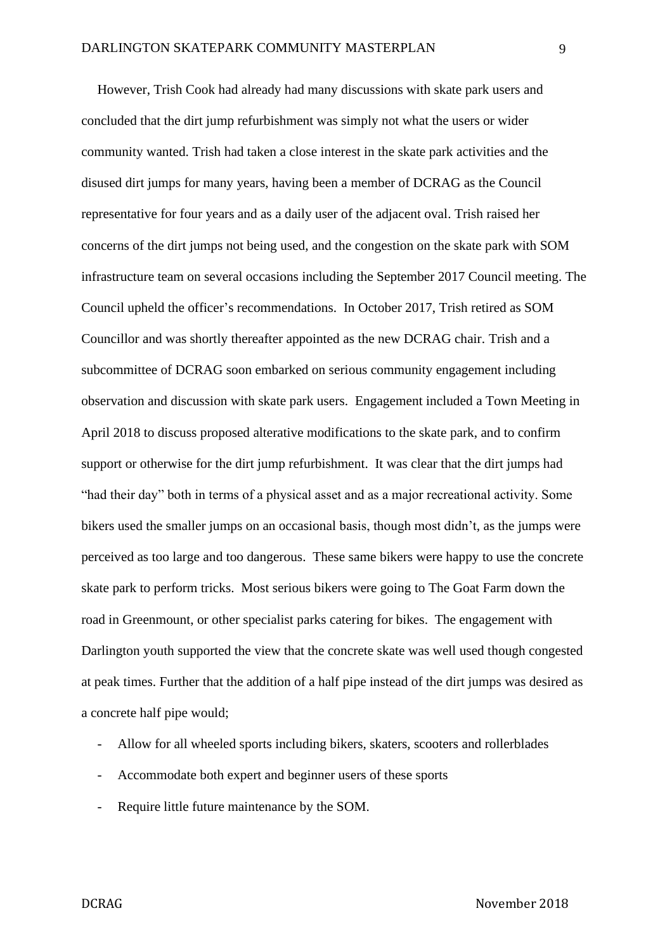However, Trish Cook had already had many discussions with skate park users and concluded that the dirt jump refurbishment was simply not what the users or wider community wanted. Trish had taken a close interest in the skate park activities and the disused dirt jumps for many years, having been a member of DCRAG as the Council representative for four years and as a daily user of the adjacent oval. Trish raised her concerns of the dirt jumps not being used, and the congestion on the skate park with SOM infrastructure team on several occasions including the September 2017 Council meeting. The Council upheld the officer's recommendations. In October 2017, Trish retired as SOM Councillor and was shortly thereafter appointed as the new DCRAG chair. Trish and a subcommittee of DCRAG soon embarked on serious community engagement including observation and discussion with skate park users. Engagement included a Town Meeting in April 2018 to discuss proposed alterative modifications to the skate park, and to confirm support or otherwise for the dirt jump refurbishment. It was clear that the dirt jumps had "had their day" both in terms of a physical asset and as a major recreational activity. Some bikers used the smaller jumps on an occasional basis, though most didn't, as the jumps were perceived as too large and too dangerous. These same bikers were happy to use the concrete skate park to perform tricks. Most serious bikers were going to The Goat Farm down the road in Greenmount, or other specialist parks catering for bikes. The engagement with Darlington youth supported the view that the concrete skate was well used though congested at peak times. Further that the addition of a half pipe instead of the dirt jumps was desired as a concrete half pipe would;

- Allow for all wheeled sports including bikers, skaters, scooters and rollerblades
- Accommodate both expert and beginner users of these sports
- Require little future maintenance by the SOM.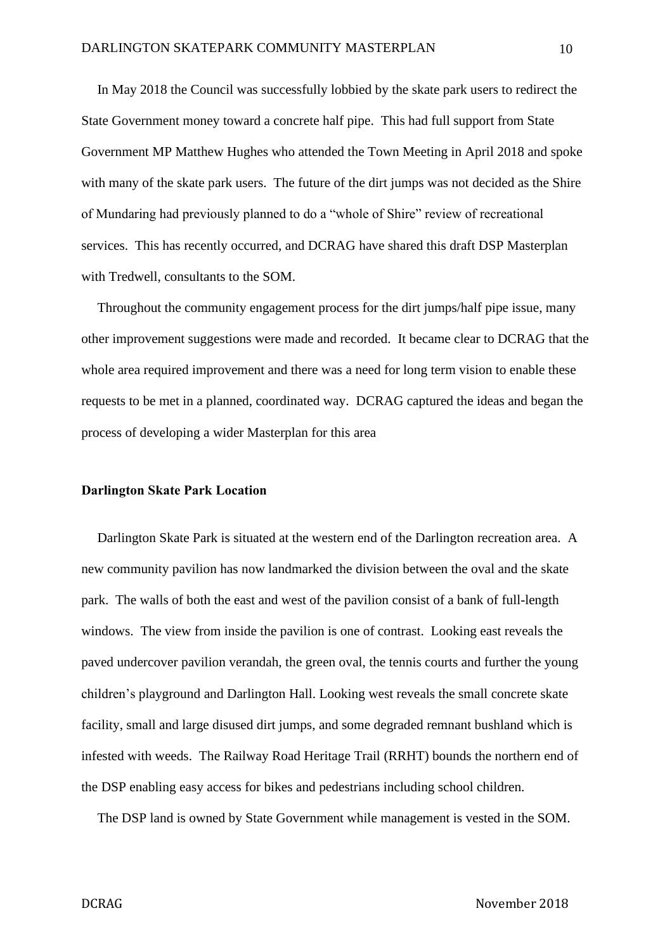In May 2018 the Council was successfully lobbied by the skate park users to redirect the State Government money toward a concrete half pipe. This had full support from State Government MP Matthew Hughes who attended the Town Meeting in April 2018 and spoke with many of the skate park users. The future of the dirt jumps was not decided as the Shire of Mundaring had previously planned to do a "whole of Shire" review of recreational services. This has recently occurred, and DCRAG have shared this draft DSP Masterplan with Tredwell, consultants to the SOM.

Throughout the community engagement process for the dirt jumps/half pipe issue, many other improvement suggestions were made and recorded. It became clear to DCRAG that the whole area required improvement and there was a need for long term vision to enable these requests to be met in a planned, coordinated way. DCRAG captured the ideas and began the process of developing a wider Masterplan for this area

#### **Darlington Skate Park Location**

Darlington Skate Park is situated at the western end of the Darlington recreation area. A new community pavilion has now landmarked the division between the oval and the skate park. The walls of both the east and west of the pavilion consist of a bank of full-length windows. The view from inside the pavilion is one of contrast. Looking east reveals the paved undercover pavilion verandah, the green oval, the tennis courts and further the young children's playground and Darlington Hall. Looking west reveals the small concrete skate facility, small and large disused dirt jumps, and some degraded remnant bushland which is infested with weeds. The Railway Road Heritage Trail (RRHT) bounds the northern end of the DSP enabling easy access for bikes and pedestrians including school children.

The DSP land is owned by State Government while management is vested in the SOM.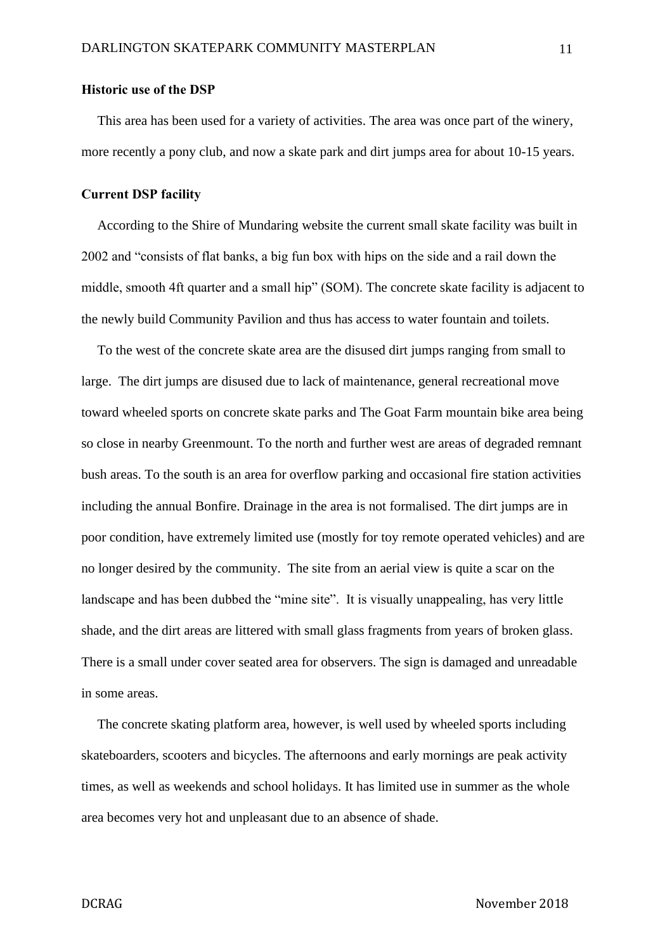#### **Historic use of the DSP**

This area has been used for a variety of activities. The area was once part of the winery, more recently a pony club, and now a skate park and dirt jumps area for about 10-15 years.

### **Current DSP facility**

According to the Shire of Mundaring website the current small skate facility was built in 2002 and "consists of flat banks, a big fun box with hips on the side and a rail down the middle, smooth 4ft quarter and a small hip" (SOM). The concrete skate facility is adjacent to the newly build Community Pavilion and thus has access to water fountain and toilets.

To the west of the concrete skate area are the disused dirt jumps ranging from small to large. The dirt jumps are disused due to lack of maintenance, general recreational move toward wheeled sports on concrete skate parks and The Goat Farm mountain bike area being so close in nearby Greenmount. To the north and further west are areas of degraded remnant bush areas. To the south is an area for overflow parking and occasional fire station activities including the annual Bonfire. Drainage in the area is not formalised. The dirt jumps are in poor condition, have extremely limited use (mostly for toy remote operated vehicles) and are no longer desired by the community. The site from an aerial view is quite a scar on the landscape and has been dubbed the "mine site". It is visually unappealing, has very little shade, and the dirt areas are littered with small glass fragments from years of broken glass. There is a small under cover seated area for observers. The sign is damaged and unreadable in some areas.

The concrete skating platform area, however, is well used by wheeled sports including skateboarders, scooters and bicycles. The afternoons and early mornings are peak activity times, as well as weekends and school holidays. It has limited use in summer as the whole area becomes very hot and unpleasant due to an absence of shade.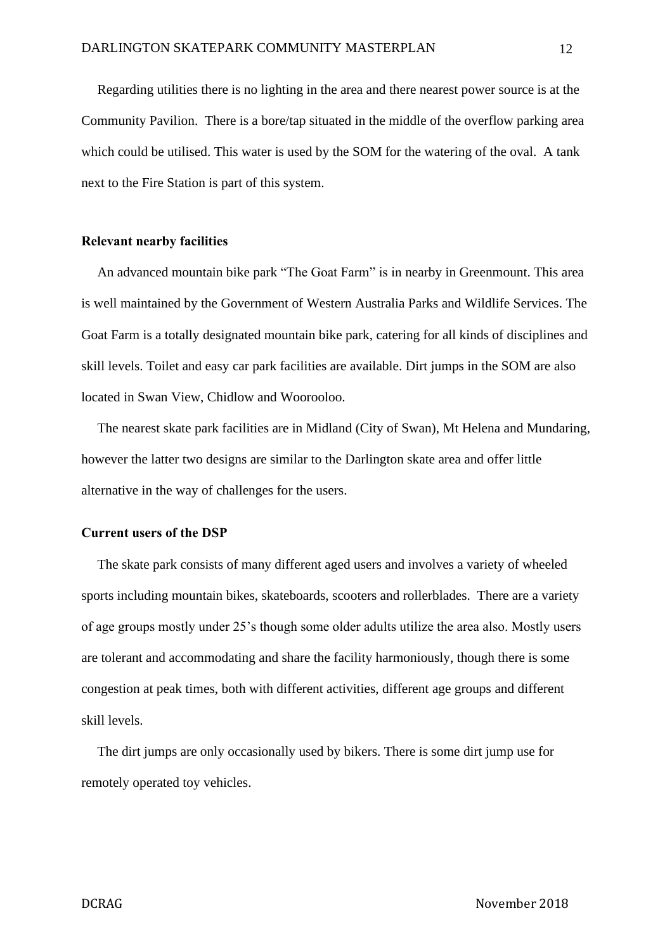Regarding utilities there is no lighting in the area and there nearest power source is at the Community Pavilion. There is a bore/tap situated in the middle of the overflow parking area which could be utilised. This water is used by the SOM for the watering of the oval. A tank next to the Fire Station is part of this system.

## **Relevant nearby facilities**

An advanced mountain bike park "The Goat Farm" is in nearby in Greenmount. This area is well maintained by the Government of Western Australia Parks and Wildlife Services. The Goat Farm is a totally designated mountain bike park, catering for all kinds of disciplines and skill levels. Toilet and easy car park facilities are available. Dirt jumps in the SOM are also located in Swan View, Chidlow and Woorooloo.

The nearest skate park facilities are in Midland (City of Swan), Mt Helena and Mundaring, however the latter two designs are similar to the Darlington skate area and offer little alternative in the way of challenges for the users.

## **Current users of the DSP**

The skate park consists of many different aged users and involves a variety of wheeled sports including mountain bikes, skateboards, scooters and rollerblades. There are a variety of age groups mostly under 25's though some older adults utilize the area also. Mostly users are tolerant and accommodating and share the facility harmoniously, though there is some congestion at peak times, both with different activities, different age groups and different skill levels.

The dirt jumps are only occasionally used by bikers. There is some dirt jump use for remotely operated toy vehicles.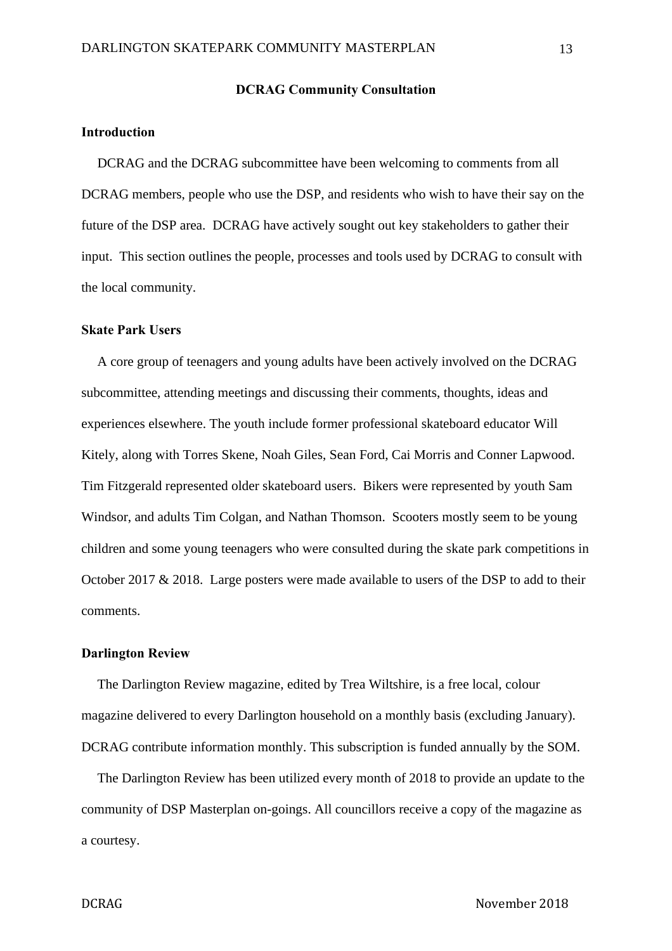### **DCRAG Community Consultation**

# **Introduction**

DCRAG and the DCRAG subcommittee have been welcoming to comments from all DCRAG members, people who use the DSP, and residents who wish to have their say on the future of the DSP area. DCRAG have actively sought out key stakeholders to gather their input. This section outlines the people, processes and tools used by DCRAG to consult with the local community.

#### **Skate Park Users**

A core group of teenagers and young adults have been actively involved on the DCRAG subcommittee, attending meetings and discussing their comments, thoughts, ideas and experiences elsewhere. The youth include former professional skateboard educator Will Kitely, along with Torres Skene, Noah Giles, Sean Ford, Cai Morris and Conner Lapwood. Tim Fitzgerald represented older skateboard users. Bikers were represented by youth Sam Windsor, and adults Tim Colgan, and Nathan Thomson. Scooters mostly seem to be young children and some young teenagers who were consulted during the skate park competitions in October 2017 & 2018. Large posters were made available to users of the DSP to add to their comments.

#### **Darlington Review**

The Darlington Review magazine, edited by Trea Wiltshire, is a free local, colour magazine delivered to every Darlington household on a monthly basis (excluding January). DCRAG contribute information monthly. This subscription is funded annually by the SOM.

The Darlington Review has been utilized every month of 2018 to provide an update to the community of DSP Masterplan on-goings. All councillors receive a copy of the magazine as a courtesy.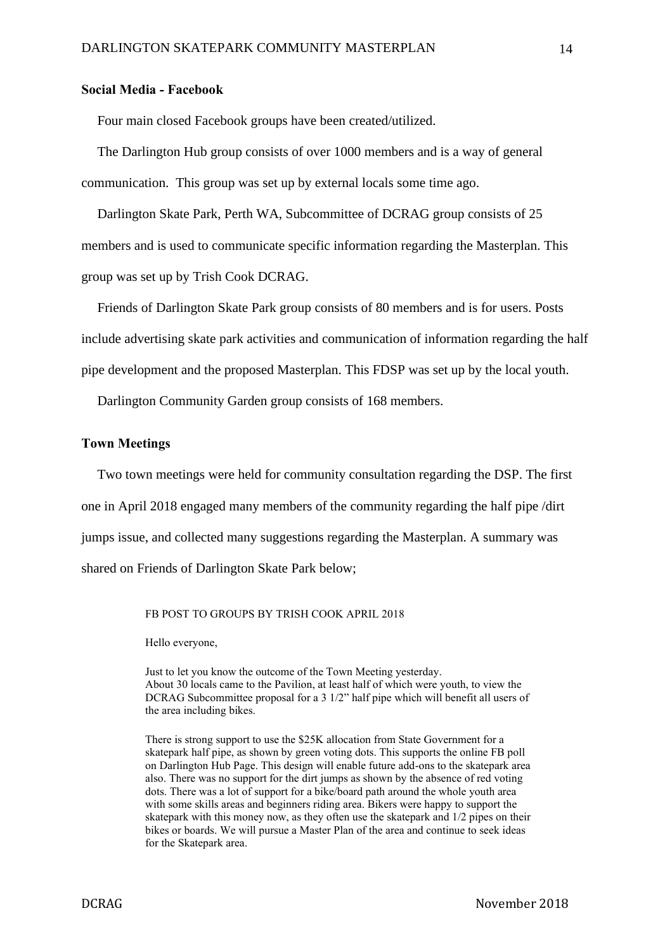### **Social Media - Facebook**

Four main closed Facebook groups have been created/utilized.

The Darlington Hub group consists of over 1000 members and is a way of general communication. This group was set up by external locals some time ago.

Darlington Skate Park, Perth WA, Subcommittee of DCRAG group consists of 25 members and is used to communicate specific information regarding the Masterplan. This group was set up by Trish Cook DCRAG.

Friends of Darlington Skate Park group consists of 80 members and is for users. Posts include advertising skate park activities and communication of information regarding the half pipe development and the proposed Masterplan. This FDSP was set up by the local youth.

Darlington Community Garden group consists of 168 members.

### **Town Meetings**

Two town meetings were held for community consultation regarding the DSP. The first one in April 2018 engaged many members of the community regarding the half pipe /dirt jumps issue, and collected many suggestions regarding the Masterplan. A summary was shared on Friends of Darlington Skate Park below;

FB POST TO GROUPS BY TRISH COOK APRIL 2018

Hello everyone,

Just to let you know the outcome of the Town Meeting yesterday. About 30 locals came to the Pavilion, at least half of which were youth, to view the DCRAG Subcommittee proposal for a 3 1/2" half pipe which will benefit all users of the area including bikes.

There is strong support to use the \$25K allocation from State Government for a skatepark half pipe, as shown by green voting dots. This supports the online FB poll on Darlington Hub Page. This design will enable future add-ons to the skatepark area also. There was no support for the dirt jumps as shown by the absence of red voting dots. There was a lot of support for a bike/board path around the whole youth area with some skills areas and beginners riding area. Bikers were happy to support the skatepark with this money now, as they often use the skatepark and 1/2 pipes on their bikes or boards. We will pursue a Master Plan of the area and continue to seek ideas for the Skatepark area.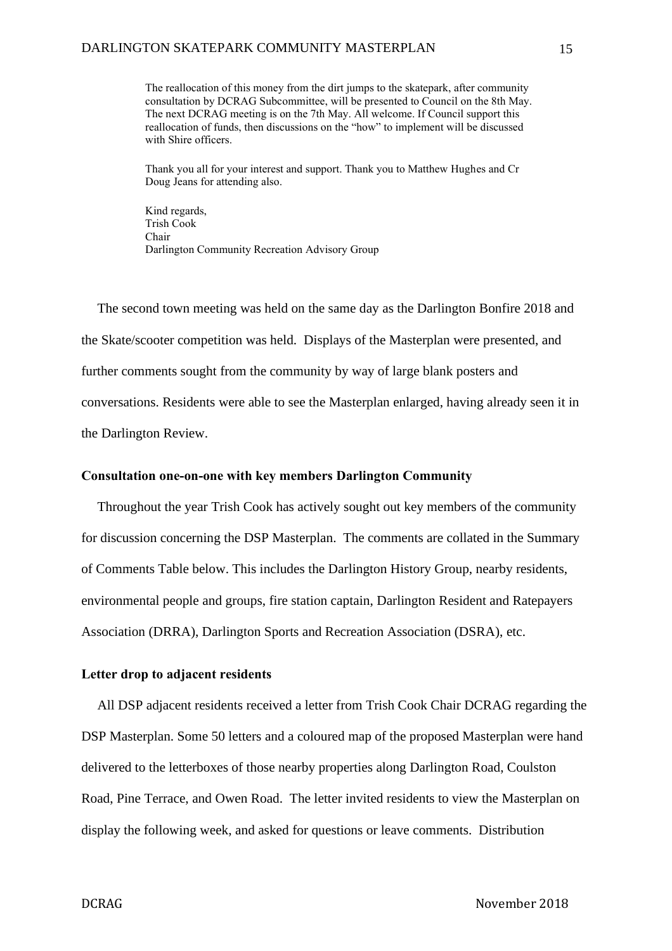The reallocation of this money from the dirt jumps to the skatepark, after community consultation by DCRAG Subcommittee, will be presented to Council on the 8th May. The next DCRAG meeting is on the 7th May. All welcome. If Council support this reallocation of funds, then discussions on the "how" to implement will be discussed with Shire officers.

Thank you all for your interest and support. Thank you to Matthew Hughes and Cr Doug Jeans for attending also.

Kind regards, Trish Cook Chair Darlington Community Recreation Advisory Group

The second town meeting was held on the same day as the Darlington Bonfire 2018 and the Skate/scooter competition was held. Displays of the Masterplan were presented, and further comments sought from the community by way of large blank posters and conversations. Residents were able to see the Masterplan enlarged, having already seen it in the Darlington Review.

## **Consultation one-on-one with key members Darlington Community**

Throughout the year Trish Cook has actively sought out key members of the community for discussion concerning the DSP Masterplan. The comments are collated in the Summary of Comments Table below. This includes the Darlington History Group, nearby residents, environmental people and groups, fire station captain, Darlington Resident and Ratepayers Association (DRRA), Darlington Sports and Recreation Association (DSRA), etc.

## **Letter drop to adjacent residents**

All DSP adjacent residents received a letter from Trish Cook Chair DCRAG regarding the DSP Masterplan. Some 50 letters and a coloured map of the proposed Masterplan were hand delivered to the letterboxes of those nearby properties along Darlington Road, Coulston Road, Pine Terrace, and Owen Road. The letter invited residents to view the Masterplan on display the following week, and asked for questions or leave comments. Distribution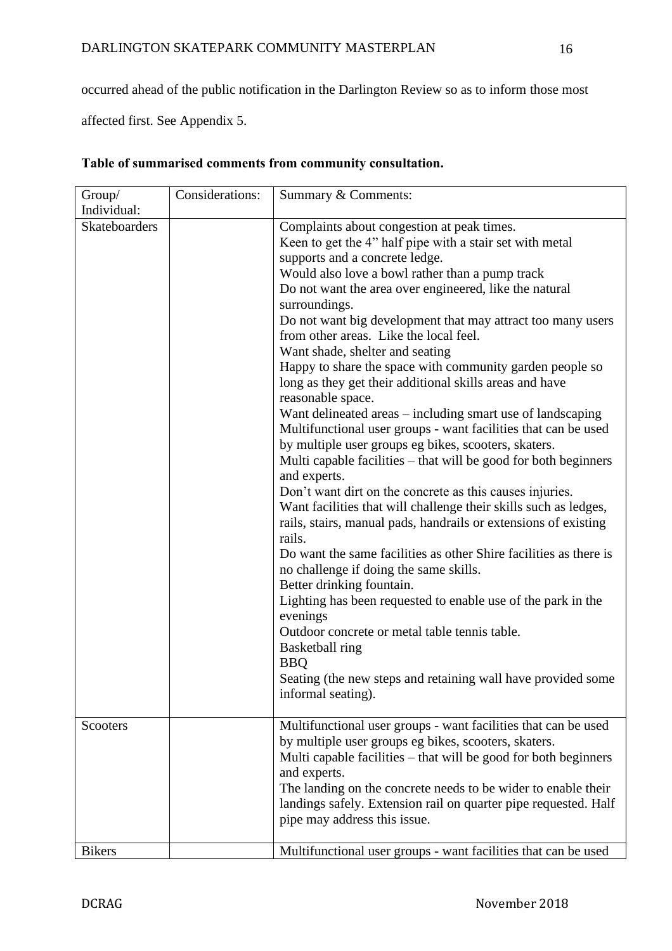occurred ahead of the public notification in the Darlington Review so as to inform those most

affected first. See Appendix 5.

| Group/                              | Considerations: | Summary & Comments:                                                                                                                                                                                                                                                                                                                                                                                                                                                                                                                                                                                                                                                                                                                                                                                                                                                                                   |
|-------------------------------------|-----------------|-------------------------------------------------------------------------------------------------------------------------------------------------------------------------------------------------------------------------------------------------------------------------------------------------------------------------------------------------------------------------------------------------------------------------------------------------------------------------------------------------------------------------------------------------------------------------------------------------------------------------------------------------------------------------------------------------------------------------------------------------------------------------------------------------------------------------------------------------------------------------------------------------------|
|                                     |                 |                                                                                                                                                                                                                                                                                                                                                                                                                                                                                                                                                                                                                                                                                                                                                                                                                                                                                                       |
| Individual:<br><b>Skateboarders</b> |                 | Complaints about congestion at peak times.<br>Keen to get the 4" half pipe with a stair set with metal<br>supports and a concrete ledge.<br>Would also love a bowl rather than a pump track<br>Do not want the area over engineered, like the natural<br>surroundings.<br>Do not want big development that may attract too many users<br>from other areas. Like the local feel.<br>Want shade, shelter and seating<br>Happy to share the space with community garden people so<br>long as they get their additional skills areas and have<br>reasonable space.<br>Want delineated areas - including smart use of landscaping<br>Multifunctional user groups - want facilities that can be used<br>by multiple user groups eg bikes, scooters, skaters.<br>Multi capable facilities – that will be good for both beginners<br>and experts.<br>Don't want dirt on the concrete as this causes injuries. |
|                                     |                 | Want facilities that will challenge their skills such as ledges,<br>rails, stairs, manual pads, handrails or extensions of existing<br>rails.<br>Do want the same facilities as other Shire facilities as there is<br>no challenge if doing the same skills.<br>Better drinking fountain.                                                                                                                                                                                                                                                                                                                                                                                                                                                                                                                                                                                                             |
|                                     |                 | Lighting has been requested to enable use of the park in the<br>evenings<br>Outdoor concrete or metal table tennis table.<br><b>Basketball</b> ring<br><b>BBQ</b><br>Seating (the new steps and retaining wall have provided some<br>informal seating).                                                                                                                                                                                                                                                                                                                                                                                                                                                                                                                                                                                                                                               |
| Scooters                            |                 | Multifunctional user groups - want facilities that can be used<br>by multiple user groups eg bikes, scooters, skaters.<br>Multi capable facilities - that will be good for both beginners<br>and experts.<br>The landing on the concrete needs to be wider to enable their<br>landings safely. Extension rail on quarter pipe requested. Half<br>pipe may address this issue.                                                                                                                                                                                                                                                                                                                                                                                                                                                                                                                         |
| <b>Bikers</b>                       |                 | Multifunctional user groups - want facilities that can be used                                                                                                                                                                                                                                                                                                                                                                                                                                                                                                                                                                                                                                                                                                                                                                                                                                        |

# **Table of summarised comments from community consultation.**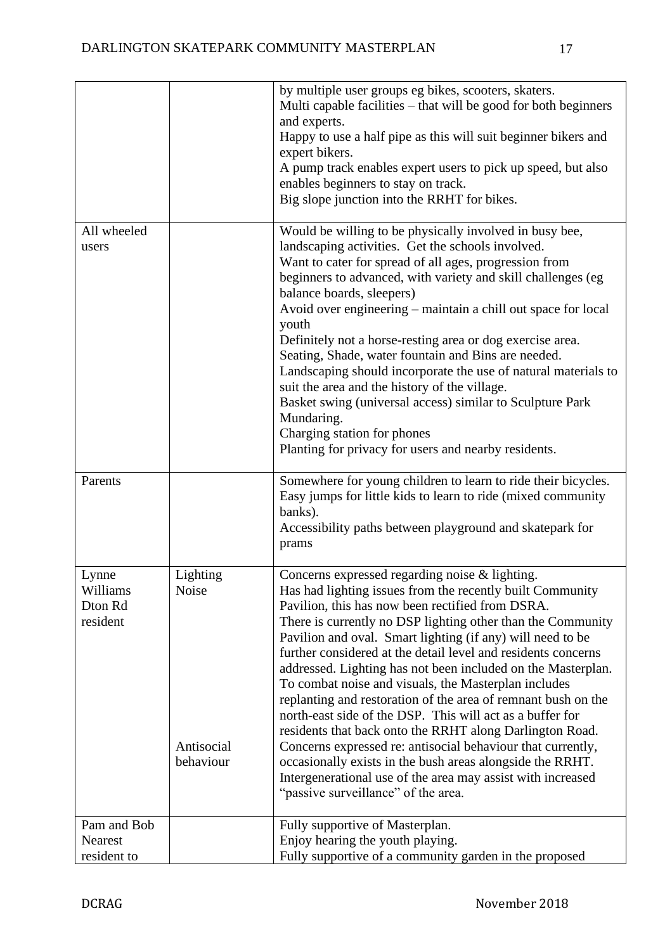|                                          |                                              | by multiple user groups eg bikes, scooters, skaters.<br>Multi capable facilities – that will be good for both beginners<br>and experts.<br>Happy to use a half pipe as this will suit beginner bikers and<br>expert bikers.<br>A pump track enables expert users to pick up speed, but also<br>enables beginners to stay on track.<br>Big slope junction into the RRHT for bikes.                                                                                                                                                                                                                                                                                                                                                                                                                                                                                                                                 |
|------------------------------------------|----------------------------------------------|-------------------------------------------------------------------------------------------------------------------------------------------------------------------------------------------------------------------------------------------------------------------------------------------------------------------------------------------------------------------------------------------------------------------------------------------------------------------------------------------------------------------------------------------------------------------------------------------------------------------------------------------------------------------------------------------------------------------------------------------------------------------------------------------------------------------------------------------------------------------------------------------------------------------|
| All wheeled<br>users                     |                                              | Would be willing to be physically involved in busy bee,<br>landscaping activities. Get the schools involved.<br>Want to cater for spread of all ages, progression from<br>beginners to advanced, with variety and skill challenges (eg<br>balance boards, sleepers)<br>Avoid over engineering – maintain a chill out space for local<br>youth<br>Definitely not a horse-resting area or dog exercise area.<br>Seating, Shade, water fountain and Bins are needed.<br>Landscaping should incorporate the use of natural materials to<br>suit the area and the history of the village.<br>Basket swing (universal access) similar to Sculpture Park<br>Mundaring.<br>Charging station for phones<br>Planting for privacy for users and nearby residents.                                                                                                                                                            |
| Parents                                  |                                              | Somewhere for young children to learn to ride their bicycles.<br>Easy jumps for little kids to learn to ride (mixed community<br>banks).<br>Accessibility paths between playground and skatepark for<br>prams                                                                                                                                                                                                                                                                                                                                                                                                                                                                                                                                                                                                                                                                                                     |
| Lynne<br>Williams<br>Dton Rd<br>resident | Lighting<br>Noise<br>Antisocial<br>behaviour | Concerns expressed regarding noise & lighting.<br>Has had lighting issues from the recently built Community<br>Pavilion, this has now been rectified from DSRA.<br>There is currently no DSP lighting other than the Community<br>Pavilion and oval. Smart lighting (if any) will need to be<br>further considered at the detail level and residents concerns<br>addressed. Lighting has not been included on the Masterplan.<br>To combat noise and visuals, the Masterplan includes<br>replanting and restoration of the area of remnant bush on the<br>north-east side of the DSP. This will act as a buffer for<br>residents that back onto the RRHT along Darlington Road.<br>Concerns expressed re: antisocial behaviour that currently,<br>occasionally exists in the bush areas alongside the RRHT.<br>Intergenerational use of the area may assist with increased<br>"passive surveillance" of the area. |
| Pam and Bob<br>Nearest<br>resident to    |                                              | Fully supportive of Masterplan.<br>Enjoy hearing the youth playing.<br>Fully supportive of a community garden in the proposed                                                                                                                                                                                                                                                                                                                                                                                                                                                                                                                                                                                                                                                                                                                                                                                     |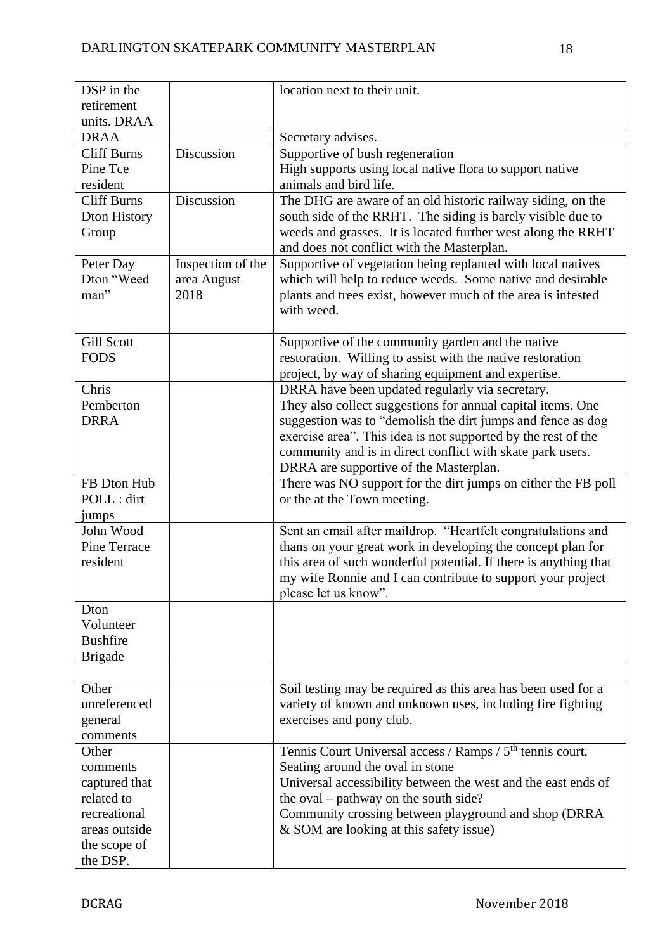| DSP in the         |                   | location next to their unit.                                               |
|--------------------|-------------------|----------------------------------------------------------------------------|
| retirement         |                   |                                                                            |
| units. DRAA        |                   |                                                                            |
| <b>DRAA</b>        |                   | Secretary advises.                                                         |
| <b>Cliff Burns</b> | Discussion        | Supportive of bush regeneration                                            |
| Pine Tce           |                   | High supports using local native flora to support native                   |
| resident           |                   | animals and bird life.                                                     |
| <b>Cliff Burns</b> | Discussion        | The DHG are aware of an old historic railway siding, on the                |
| Dton History       |                   | south side of the RRHT. The siding is barely visible due to                |
| Group              |                   | weeds and grasses. It is located further west along the RRHT               |
|                    |                   | and does not conflict with the Masterplan.                                 |
| Peter Day          | Inspection of the | Supportive of vegetation being replanted with local natives                |
| Dton "Weed         | area August       | which will help to reduce weeds. Some native and desirable                 |
| man"               | 2018              |                                                                            |
|                    |                   | plants and trees exist, however much of the area is infested<br>with weed. |
|                    |                   |                                                                            |
| <b>Gill Scott</b>  |                   |                                                                            |
| <b>FODS</b>        |                   | Supportive of the community garden and the native                          |
|                    |                   | restoration. Willing to assist with the native restoration                 |
|                    |                   | project, by way of sharing equipment and expertise.                        |
| Chris              |                   | DRRA have been updated regularly via secretary.                            |
| Pemberton          |                   | They also collect suggestions for annual capital items. One                |
| <b>DRRA</b>        |                   | suggestion was to "demolish the dirt jumps and fence as dog                |
|                    |                   | exercise area". This idea is not supported by the rest of the              |
|                    |                   | community and is in direct conflict with skate park users.                 |
|                    |                   | DRRA are supportive of the Masterplan.                                     |
| FB Dton Hub        |                   | There was NO support for the dirt jumps on either the FB poll              |
| POLL : dirt        |                   | or the at the Town meeting.                                                |
| jumps              |                   |                                                                            |
| John Wood          |                   | Sent an email after maildrop. "Heartfelt congratulations and               |
| Pine Terrace       |                   | thans on your great work in developing the concept plan for                |
| resident           |                   | this area of such wonderful potential. If there is anything that           |
|                    |                   | my wife Ronnie and I can contribute to support your project                |
|                    |                   | please let us know".                                                       |
| Dton               |                   |                                                                            |
| Volunteer          |                   |                                                                            |
| <b>Bushfire</b>    |                   |                                                                            |
| <b>Brigade</b>     |                   |                                                                            |
|                    |                   |                                                                            |
| Other              |                   | Soil testing may be required as this area has been used for a              |
| unreferenced       |                   | variety of known and unknown uses, including fire fighting                 |
| general            |                   | exercises and pony club.                                                   |
| comments           |                   |                                                                            |
| Other              |                   | Tennis Court Universal access / Ramps / 5 <sup>th</sup> tennis court.      |
| comments           |                   | Seating around the oval in stone                                           |
| captured that      |                   | Universal accessibility between the west and the east ends of              |
| related to         |                   | the oval – pathway on the south side?                                      |
| recreational       |                   | Community crossing between playground and shop (DRRA                       |
| areas outside      |                   | & SOM are looking at this safety issue)                                    |
| the scope of       |                   |                                                                            |
| the DSP.           |                   |                                                                            |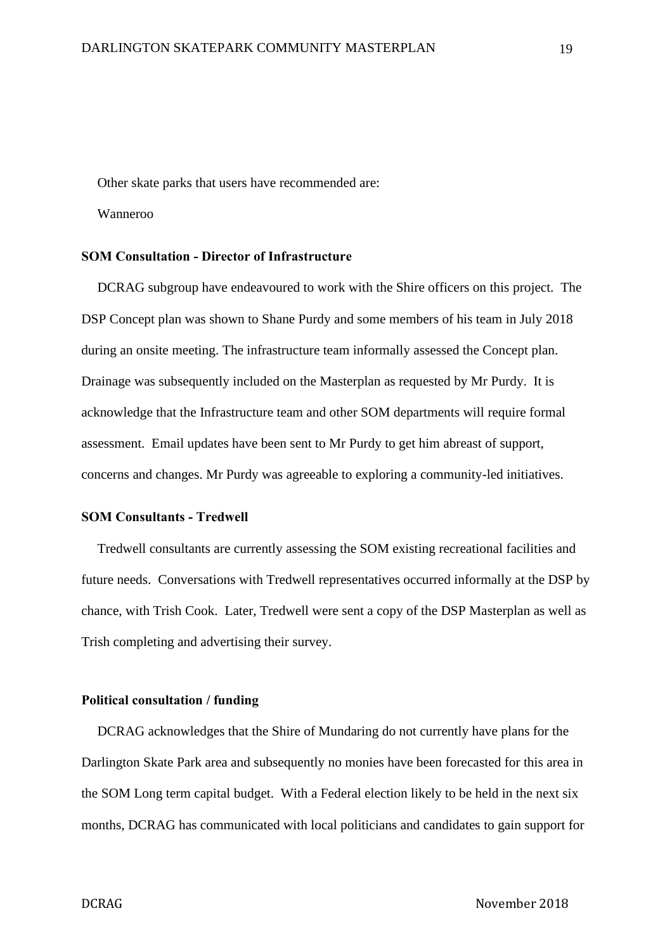Other skate parks that users have recommended are:

Wanneroo

# **SOM Consultation - Director of Infrastructure**

DCRAG subgroup have endeavoured to work with the Shire officers on this project. The DSP Concept plan was shown to Shane Purdy and some members of his team in July 2018 during an onsite meeting. The infrastructure team informally assessed the Concept plan. Drainage was subsequently included on the Masterplan as requested by Mr Purdy. It is acknowledge that the Infrastructure team and other SOM departments will require formal assessment. Email updates have been sent to Mr Purdy to get him abreast of support, concerns and changes. Mr Purdy was agreeable to exploring a community-led initiatives.

## **SOM Consultants - Tredwell**

Tredwell consultants are currently assessing the SOM existing recreational facilities and future needs. Conversations with Tredwell representatives occurred informally at the DSP by chance, with Trish Cook. Later, Tredwell were sent a copy of the DSP Masterplan as well as Trish completing and advertising their survey.

#### **Political consultation / funding**

DCRAG acknowledges that the Shire of Mundaring do not currently have plans for the Darlington Skate Park area and subsequently no monies have been forecasted for this area in the SOM Long term capital budget. With a Federal election likely to be held in the next six months, DCRAG has communicated with local politicians and candidates to gain support for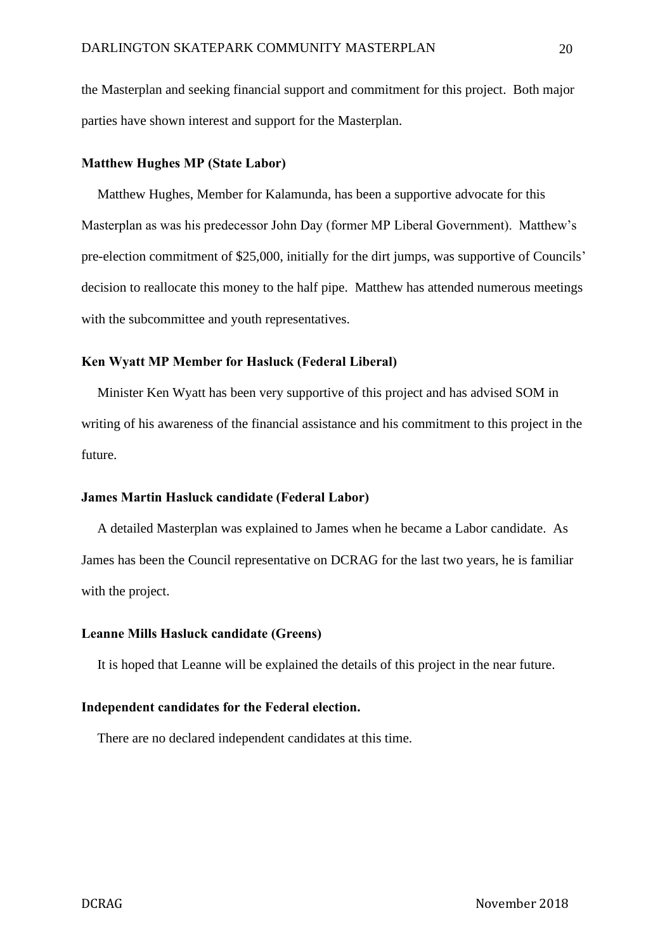the Masterplan and seeking financial support and commitment for this project. Both major parties have shown interest and support for the Masterplan.

## **Matthew Hughes MP (State Labor)**

Matthew Hughes, Member for Kalamunda, has been a supportive advocate for this Masterplan as was his predecessor John Day (former MP Liberal Government). Matthew's pre-election commitment of \$25,000, initially for the dirt jumps, was supportive of Councils' decision to reallocate this money to the half pipe. Matthew has attended numerous meetings with the subcommittee and youth representatives.

#### **Ken Wyatt MP Member for Hasluck (Federal Liberal)**

Minister Ken Wyatt has been very supportive of this project and has advised SOM in writing of his awareness of the financial assistance and his commitment to this project in the future.

#### **James Martin Hasluck candidate (Federal Labor)**

A detailed Masterplan was explained to James when he became a Labor candidate. As James has been the Council representative on DCRAG for the last two years, he is familiar with the project.

#### **Leanne Mills Hasluck candidate (Greens)**

It is hoped that Leanne will be explained the details of this project in the near future.

#### **Independent candidates for the Federal election.**

There are no declared independent candidates at this time.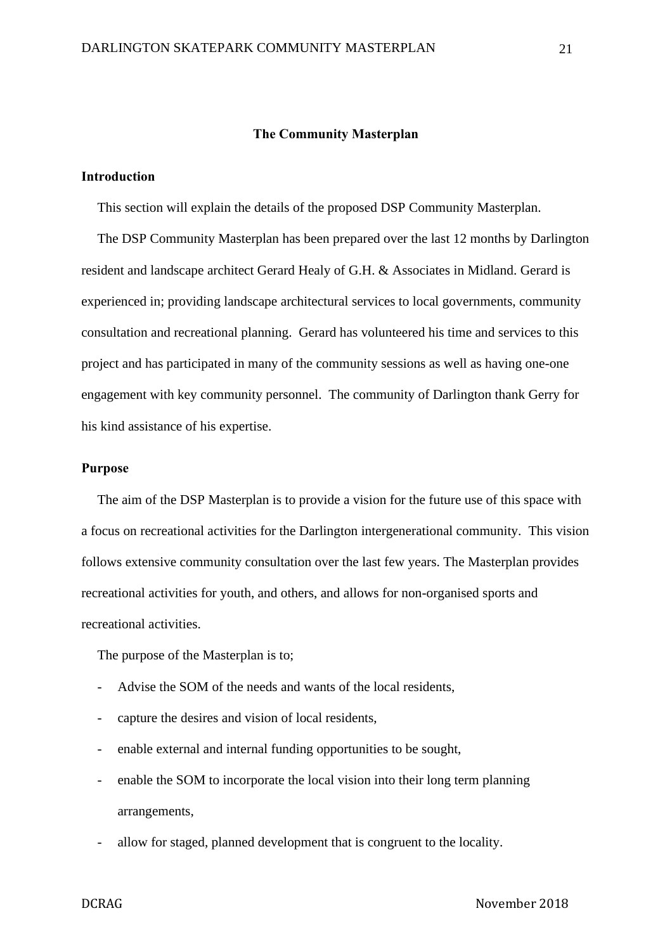#### **The Community Masterplan**

## **Introduction**

This section will explain the details of the proposed DSP Community Masterplan.

The DSP Community Masterplan has been prepared over the last 12 months by Darlington resident and landscape architect Gerard Healy of G.H. & Associates in Midland. Gerard is experienced in; providing landscape architectural services to local governments, community consultation and recreational planning. Gerard has volunteered his time and services to this project and has participated in many of the community sessions as well as having one-one engagement with key community personnel. The community of Darlington thank Gerry for his kind assistance of his expertise.

# **Purpose**

The aim of the DSP Masterplan is to provide a vision for the future use of this space with a focus on recreational activities for the Darlington intergenerational community. This vision follows extensive community consultation over the last few years. The Masterplan provides recreational activities for youth, and others, and allows for non-organised sports and recreational activities.

The purpose of the Masterplan is to;

- Advise the SOM of the needs and wants of the local residents,
- capture the desires and vision of local residents,
- enable external and internal funding opportunities to be sought,
- enable the SOM to incorporate the local vision into their long term planning arrangements,
- allow for staged, planned development that is congruent to the locality.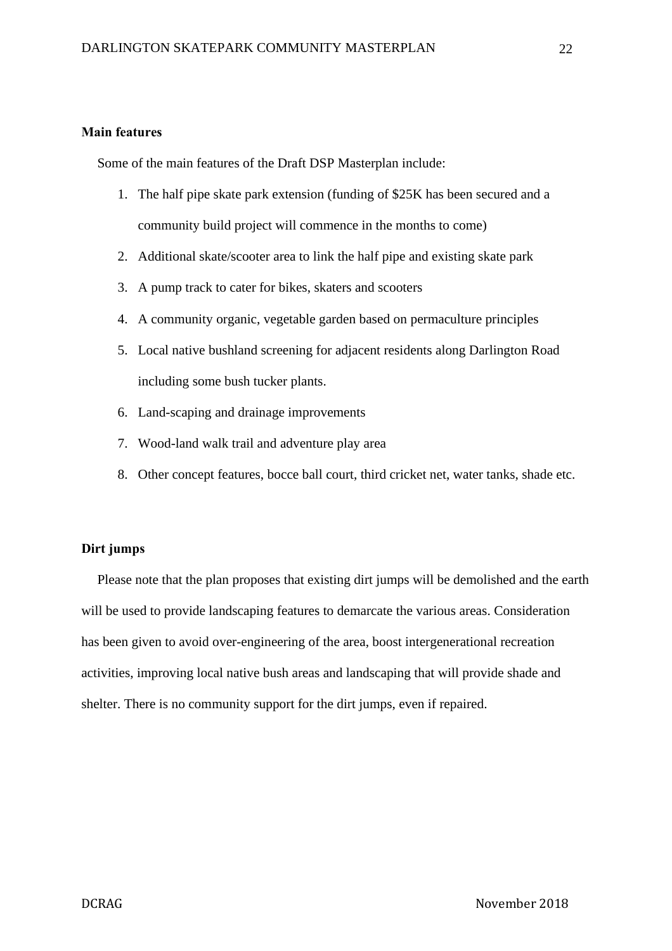# **Main features**

Some of the main features of the Draft DSP Masterplan include:

- 1. The half pipe skate park extension (funding of \$25K has been secured and a community build project will commence in the months to come)
- 2. Additional skate/scooter area to link the half pipe and existing skate park
- 3. A pump track to cater for bikes, skaters and scooters
- 4. A community organic, vegetable garden based on permaculture principles
- 5. Local native bushland screening for adjacent residents along Darlington Road including some bush tucker plants.
- 6. Land-scaping and drainage improvements
- 7. Wood-land walk trail and adventure play area
- 8. Other concept features, bocce ball court, third cricket net, water tanks, shade etc.

## **Dirt jumps**

Please note that the plan proposes that existing dirt jumps will be demolished and the earth will be used to provide landscaping features to demarcate the various areas. Consideration has been given to avoid over-engineering of the area, boost intergenerational recreation activities, improving local native bush areas and landscaping that will provide shade and shelter. There is no community support for the dirt jumps, even if repaired.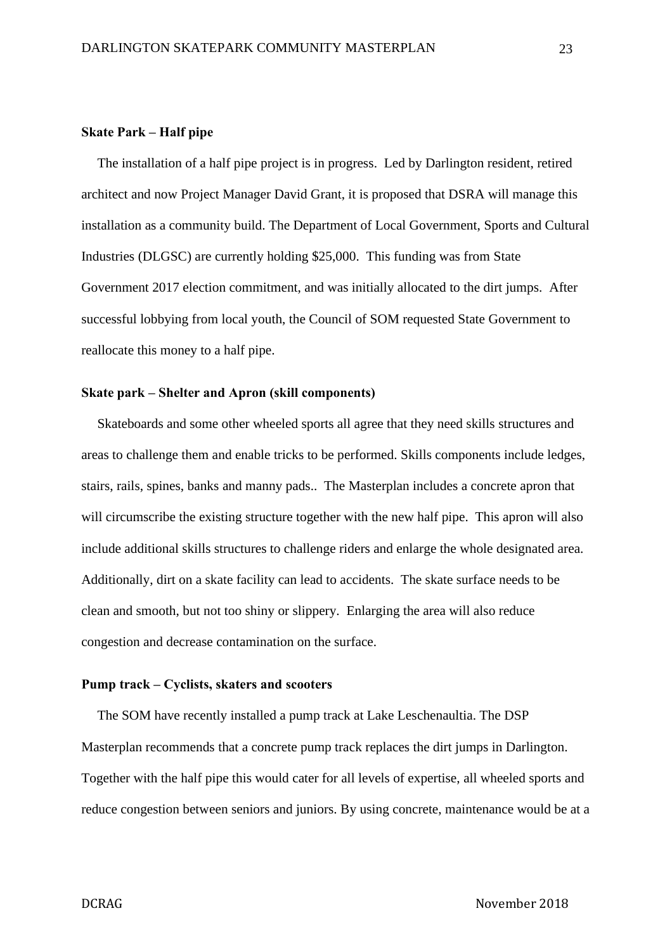## **Skate Park – Half pipe**

The installation of a half pipe project is in progress. Led by Darlington resident, retired architect and now Project Manager David Grant, it is proposed that DSRA will manage this installation as a community build. The Department of Local Government, Sports and Cultural Industries (DLGSC) are currently holding \$25,000. This funding was from State Government 2017 election commitment, and was initially allocated to the dirt jumps. After successful lobbying from local youth, the Council of SOM requested State Government to reallocate this money to a half pipe.

## **Skate park – Shelter and Apron (skill components)**

Skateboards and some other wheeled sports all agree that they need skills structures and areas to challenge them and enable tricks to be performed. Skills components include ledges, stairs, rails, spines, banks and manny pads.. The Masterplan includes a concrete apron that will circumscribe the existing structure together with the new half pipe. This apron will also include additional skills structures to challenge riders and enlarge the whole designated area. Additionally, dirt on a skate facility can lead to accidents. The skate surface needs to be clean and smooth, but not too shiny or slippery. Enlarging the area will also reduce congestion and decrease contamination on the surface.

#### **Pump track – Cyclists, skaters and scooters**

The SOM have recently installed a pump track at Lake Leschenaultia. The DSP Masterplan recommends that a concrete pump track replaces the dirt jumps in Darlington. Together with the half pipe this would cater for all levels of expertise, all wheeled sports and reduce congestion between seniors and juniors. By using concrete, maintenance would be at a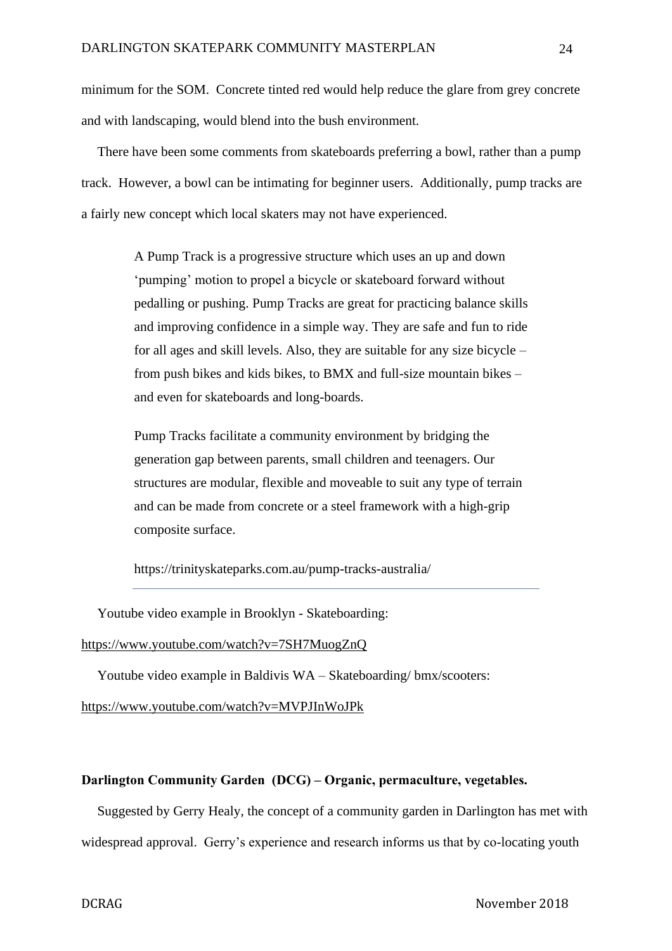minimum for the SOM. Concrete tinted red would help reduce the glare from grey concrete and with landscaping, would blend into the bush environment.

There have been some comments from skateboards preferring a bowl, rather than a pump track. However, a bowl can be intimating for beginner users. Additionally, pump tracks are a fairly new concept which local skaters may not have experienced.

> A Pump Track is a progressive structure which uses an up and down 'pumping' motion to propel a bicycle or skateboard forward without pedalling or pushing. Pump Tracks are great for practicing balance skills and improving confidence in a simple way. They are safe and fun to ride for all ages and skill levels. Also, they are suitable for any size bicycle – from push bikes and kids bikes, to BMX and full-size mountain bikes – and even for skateboards and long-boards.

Pump Tracks facilitate a community environment by bridging the generation gap between parents, small children and teenagers. Our structures are modular, flexible and moveable to suit any type of terrain and can be made from concrete or a steel framework with a high-grip composite surface.

https://trinityskateparks.com.au/pump-tracks-australia/

Youtube video example in Brooklyn - Skateboarding:

## <https://www.youtube.com/watch?v=7SH7MuogZnQ>

Youtube video example in Baldivis WA – Skateboarding/ bmx/scooters:

<https://www.youtube.com/watch?v=MVPJInWoJPk>

## **Darlington Community Garden (DCG) – Organic, permaculture, vegetables.**

Suggested by Gerry Healy, the concept of a community garden in Darlington has met with widespread approval. Gerry's experience and research informs us that by co-locating youth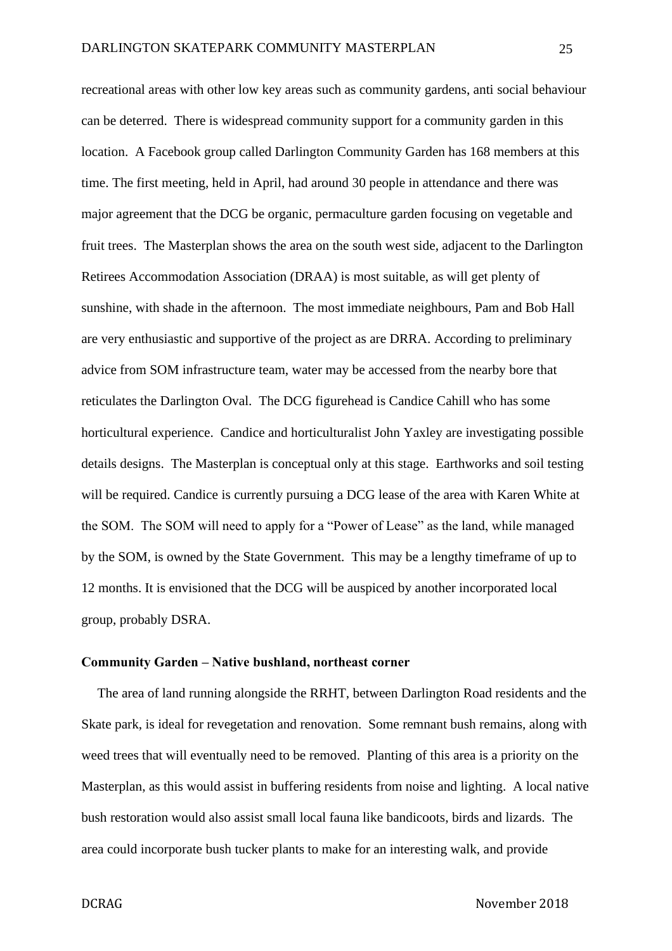recreational areas with other low key areas such as community gardens, anti social behaviour can be deterred. There is widespread community support for a community garden in this location. A Facebook group called Darlington Community Garden has 168 members at this time. The first meeting, held in April, had around 30 people in attendance and there was major agreement that the DCG be organic, permaculture garden focusing on vegetable and fruit trees. The Masterplan shows the area on the south west side, adjacent to the Darlington Retirees Accommodation Association (DRAA) is most suitable, as will get plenty of sunshine, with shade in the afternoon. The most immediate neighbours, Pam and Bob Hall are very enthusiastic and supportive of the project as are DRRA. According to preliminary advice from SOM infrastructure team, water may be accessed from the nearby bore that reticulates the Darlington Oval. The DCG figurehead is Candice Cahill who has some horticultural experience. Candice and horticulturalist John Yaxley are investigating possible details designs. The Masterplan is conceptual only at this stage. Earthworks and soil testing will be required. Candice is currently pursuing a DCG lease of the area with Karen White at the SOM. The SOM will need to apply for a "Power of Lease" as the land, while managed by the SOM, is owned by the State Government. This may be a lengthy timeframe of up to 12 months. It is envisioned that the DCG will be auspiced by another incorporated local group, probably DSRA.

#### **Community Garden – Native bushland, northeast corner**

The area of land running alongside the RRHT, between Darlington Road residents and the Skate park, is ideal for revegetation and renovation. Some remnant bush remains, along with weed trees that will eventually need to be removed. Planting of this area is a priority on the Masterplan, as this would assist in buffering residents from noise and lighting. A local native bush restoration would also assist small local fauna like bandicoots, birds and lizards. The area could incorporate bush tucker plants to make for an interesting walk, and provide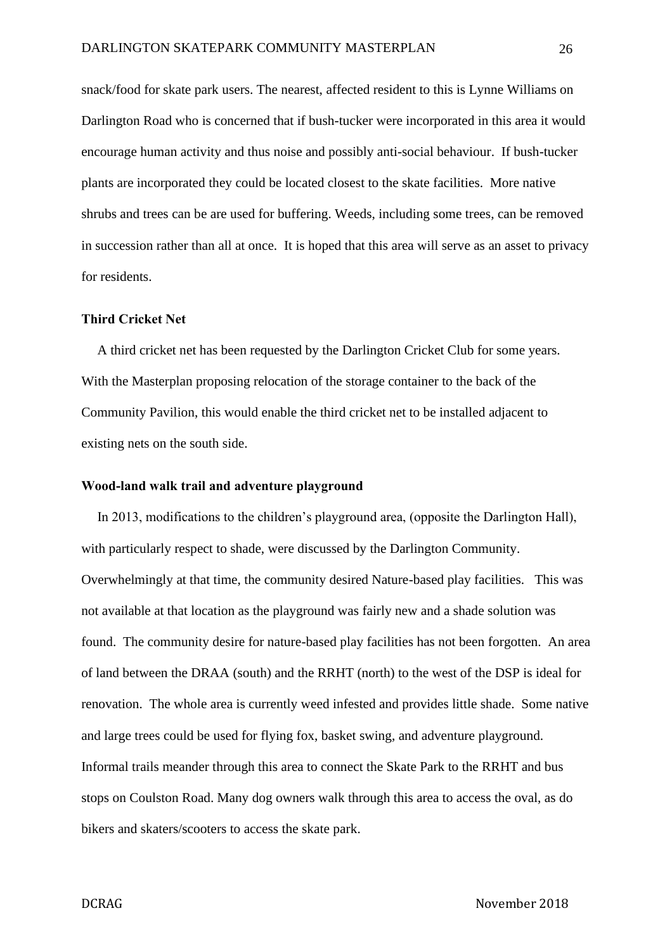snack/food for skate park users. The nearest, affected resident to this is Lynne Williams on Darlington Road who is concerned that if bush-tucker were incorporated in this area it would encourage human activity and thus noise and possibly anti-social behaviour. If bush-tucker plants are incorporated they could be located closest to the skate facilities. More native shrubs and trees can be are used for buffering. Weeds, including some trees, can be removed in succession rather than all at once. It is hoped that this area will serve as an asset to privacy for residents.

# **Third Cricket Net**

A third cricket net has been requested by the Darlington Cricket Club for some years. With the Masterplan proposing relocation of the storage container to the back of the Community Pavilion, this would enable the third cricket net to be installed adjacent to existing nets on the south side.

#### **Wood-land walk trail and adventure playground**

In 2013, modifications to the children's playground area, (opposite the Darlington Hall), with particularly respect to shade, were discussed by the Darlington Community. Overwhelmingly at that time, the community desired Nature-based play facilities. This was not available at that location as the playground was fairly new and a shade solution was found. The community desire for nature-based play facilities has not been forgotten. An area of land between the DRAA (south) and the RRHT (north) to the west of the DSP is ideal for renovation. The whole area is currently weed infested and provides little shade. Some native and large trees could be used for flying fox, basket swing, and adventure playground. Informal trails meander through this area to connect the Skate Park to the RRHT and bus stops on Coulston Road. Many dog owners walk through this area to access the oval, as do bikers and skaters/scooters to access the skate park.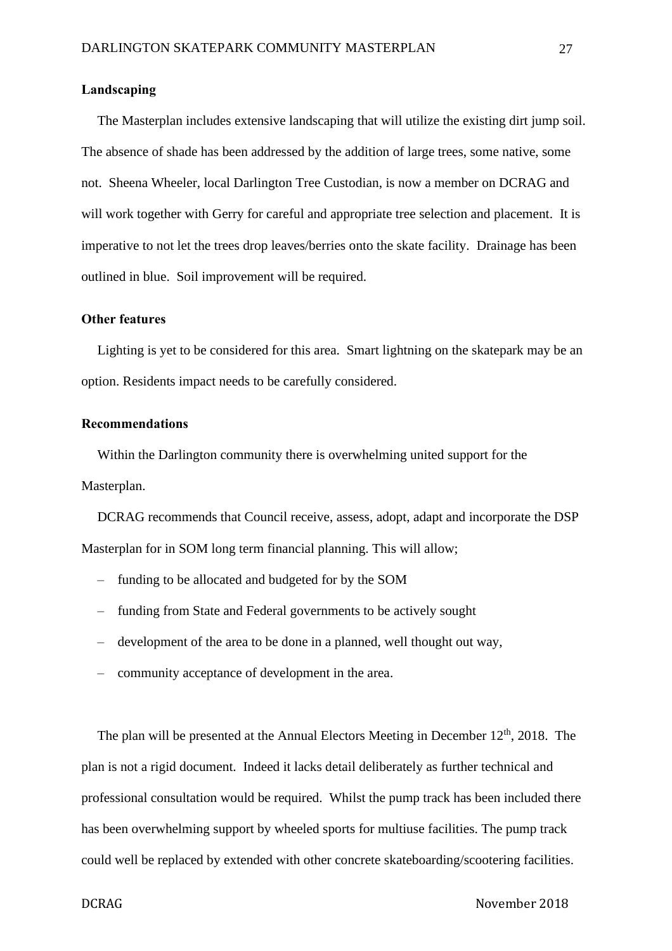## **Landscaping**

The Masterplan includes extensive landscaping that will utilize the existing dirt jump soil. The absence of shade has been addressed by the addition of large trees, some native, some not. Sheena Wheeler, local Darlington Tree Custodian, is now a member on DCRAG and will work together with Gerry for careful and appropriate tree selection and placement. It is imperative to not let the trees drop leaves/berries onto the skate facility. Drainage has been outlined in blue. Soil improvement will be required.

## **Other features**

Lighting is yet to be considered for this area. Smart lightning on the skatepark may be an option. Residents impact needs to be carefully considered.

### **Recommendations**

Within the Darlington community there is overwhelming united support for the Masterplan.

DCRAG recommends that Council receive, assess, adopt, adapt and incorporate the DSP Masterplan for in SOM long term financial planning. This will allow;

- funding to be allocated and budgeted for by the SOM
- funding from State and Federal governments to be actively sought
- development of the area to be done in a planned, well thought out way,
- community acceptance of development in the area.

The plan will be presented at the Annual Electors Meeting in December  $12<sup>th</sup>$ , 2018. The plan is not a rigid document. Indeed it lacks detail deliberately as further technical and professional consultation would be required. Whilst the pump track has been included there has been overwhelming support by wheeled sports for multiuse facilities. The pump track could well be replaced by extended with other concrete skateboarding/scootering facilities.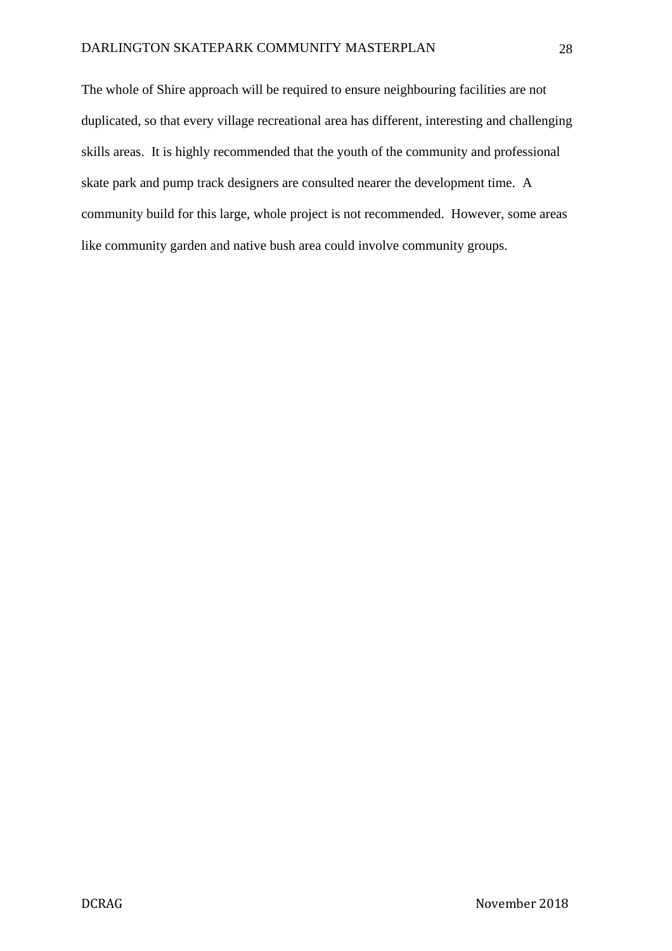The whole of Shire approach will be required to ensure neighbouring facilities are not duplicated, so that every village recreational area has different, interesting and challenging skills areas. It is highly recommended that the youth of the community and professional skate park and pump track designers are consulted nearer the development time. A community build for this large, whole project is not recommended. However, some areas like community garden and native bush area could involve community groups.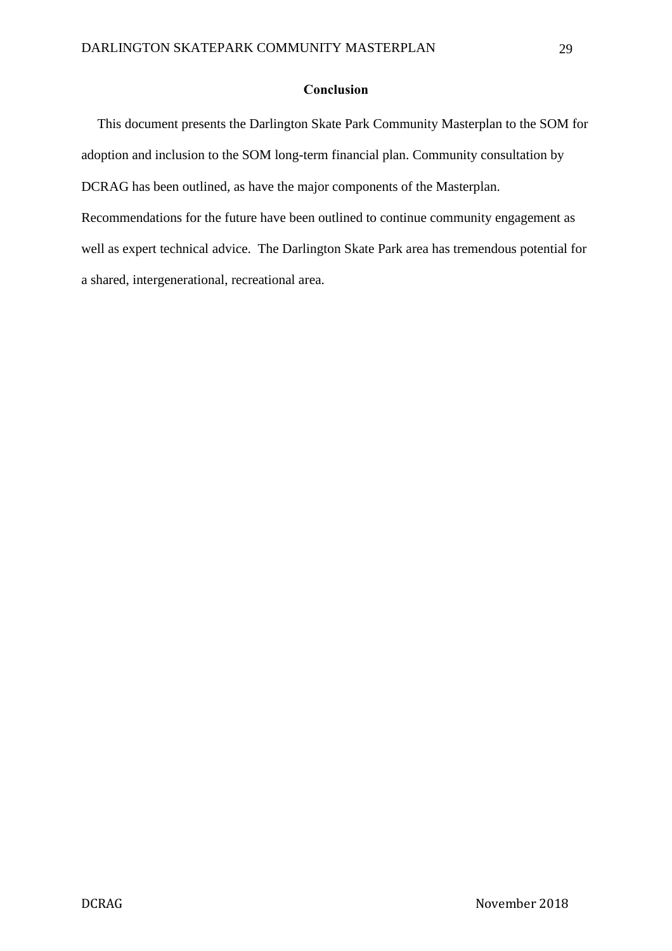# **Conclusion**

This document presents the Darlington Skate Park Community Masterplan to the SOM for adoption and inclusion to the SOM long-term financial plan. Community consultation by DCRAG has been outlined, as have the major components of the Masterplan. Recommendations for the future have been outlined to continue community engagement as well as expert technical advice. The Darlington Skate Park area has tremendous potential for a shared, intergenerational, recreational area.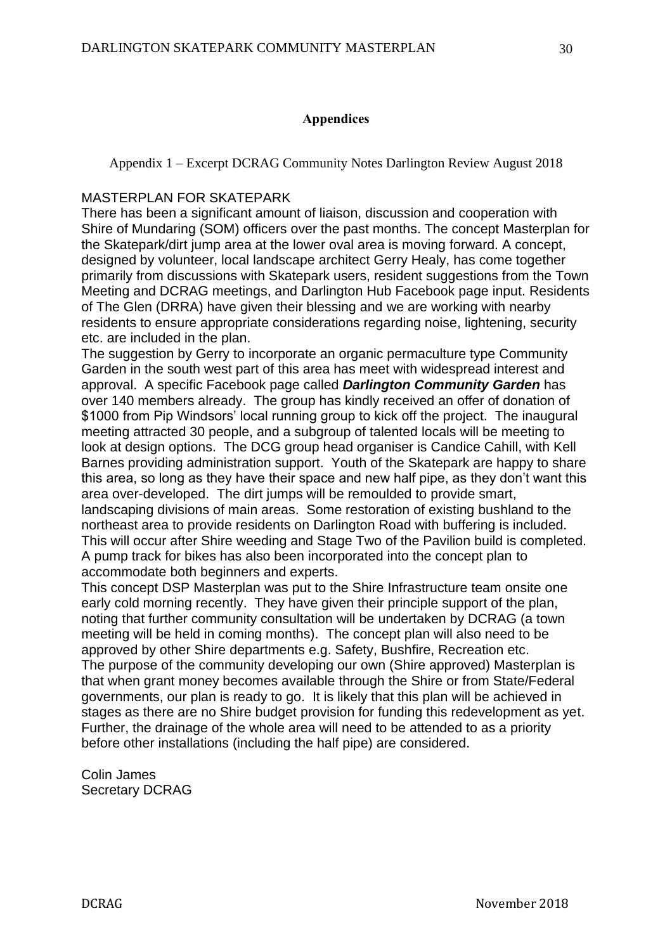# **Appendices**

Appendix 1 – Excerpt DCRAG Community Notes Darlington Review August 2018

# MASTERPLAN FOR SKATEPARK

There has been a significant amount of liaison, discussion and cooperation with Shire of Mundaring (SOM) officers over the past months. The concept Masterplan for the Skatepark/dirt jump area at the lower oval area is moving forward. A concept, designed by volunteer, local landscape architect Gerry Healy, has come together primarily from discussions with Skatepark users, resident suggestions from the Town Meeting and DCRAG meetings, and Darlington Hub Facebook page input. Residents of The Glen (DRRA) have given their blessing and we are working with nearby residents to ensure appropriate considerations regarding noise, lightening, security etc. are included in the plan.

The suggestion by Gerry to incorporate an organic permaculture type Community Garden in the south west part of this area has meet with widespread interest and approval. A specific Facebook page called *Darlington Community Garden* has over 140 members already. The group has kindly received an offer of donation of \$1000 from Pip Windsors' local running group to kick off the project. The inaugural meeting attracted 30 people, and a subgroup of talented locals will be meeting to look at design options. The DCG group head organiser is Candice Cahill, with Kell Barnes providing administration support. Youth of the Skatepark are happy to share this area, so long as they have their space and new half pipe, as they don't want this area over-developed. The dirt jumps will be remoulded to provide smart, landscaping divisions of main areas. Some restoration of existing bushland to the northeast area to provide residents on Darlington Road with buffering is included. This will occur after Shire weeding and Stage Two of the Pavilion build is completed. A pump track for bikes has also been incorporated into the concept plan to accommodate both beginners and experts.

This concept DSP Masterplan was put to the Shire Infrastructure team onsite one early cold morning recently. They have given their principle support of the plan, noting that further community consultation will be undertaken by DCRAG (a town meeting will be held in coming months). The concept plan will also need to be approved by other Shire departments e.g. Safety, Bushfire, Recreation etc. The purpose of the community developing our own (Shire approved) Masterplan is that when grant money becomes available through the Shire or from State/Federal governments, our plan is ready to go. It is likely that this plan will be achieved in stages as there are no Shire budget provision for funding this redevelopment as yet. Further, the drainage of the whole area will need to be attended to as a priority before other installations (including the half pipe) are considered.

Colin James Secretary DCRAG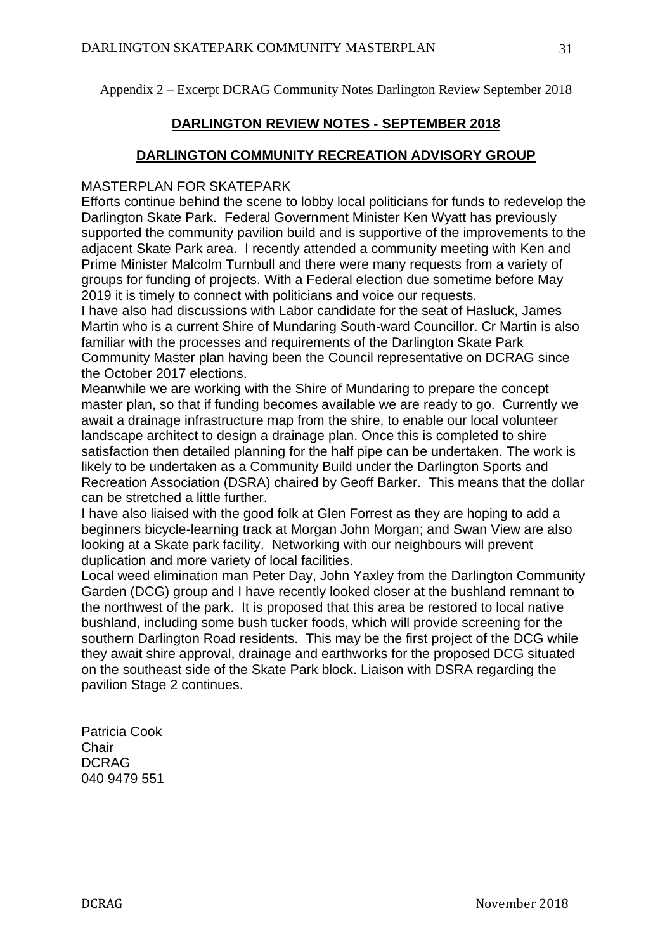Appendix 2 – Excerpt DCRAG Community Notes Darlington Review September 2018

# **DARLINGTON REVIEW NOTES - SEPTEMBER 2018**

# **DARLINGTON COMMUNITY RECREATION ADVISORY GROUP**

# MASTERPLAN FOR SKATEPARK

Efforts continue behind the scene to lobby local politicians for funds to redevelop the Darlington Skate Park. Federal Government Minister Ken Wyatt has previously supported the community pavilion build and is supportive of the improvements to the adjacent Skate Park area. I recently attended a community meeting with Ken and Prime Minister Malcolm Turnbull and there were many requests from a variety of groups for funding of projects. With a Federal election due sometime before May 2019 it is timely to connect with politicians and voice our requests.

I have also had discussions with Labor candidate for the seat of Hasluck, James Martin who is a current Shire of Mundaring South-ward Councillor. Cr Martin is also familiar with the processes and requirements of the Darlington Skate Park Community Master plan having been the Council representative on DCRAG since the October 2017 elections.

Meanwhile we are working with the Shire of Mundaring to prepare the concept master plan, so that if funding becomes available we are ready to go. Currently we await a drainage infrastructure map from the shire, to enable our local volunteer landscape architect to design a drainage plan. Once this is completed to shire satisfaction then detailed planning for the half pipe can be undertaken. The work is likely to be undertaken as a Community Build under the Darlington Sports and Recreation Association (DSRA) chaired by Geoff Barker. This means that the dollar can be stretched a little further.

I have also liaised with the good folk at Glen Forrest as they are hoping to add a beginners bicycle-learning track at Morgan John Morgan; and Swan View are also looking at a Skate park facility. Networking with our neighbours will prevent duplication and more variety of local facilities.

Local weed elimination man Peter Day, John Yaxley from the Darlington Community Garden (DCG) group and I have recently looked closer at the bushland remnant to the northwest of the park. It is proposed that this area be restored to local native bushland, including some bush tucker foods, which will provide screening for the southern Darlington Road residents. This may be the first project of the DCG while they await shire approval, drainage and earthworks for the proposed DCG situated on the southeast side of the Skate Park block. Liaison with DSRA regarding the pavilion Stage 2 continues.

Patricia Cook **Chair** DCRAG 040 9479 551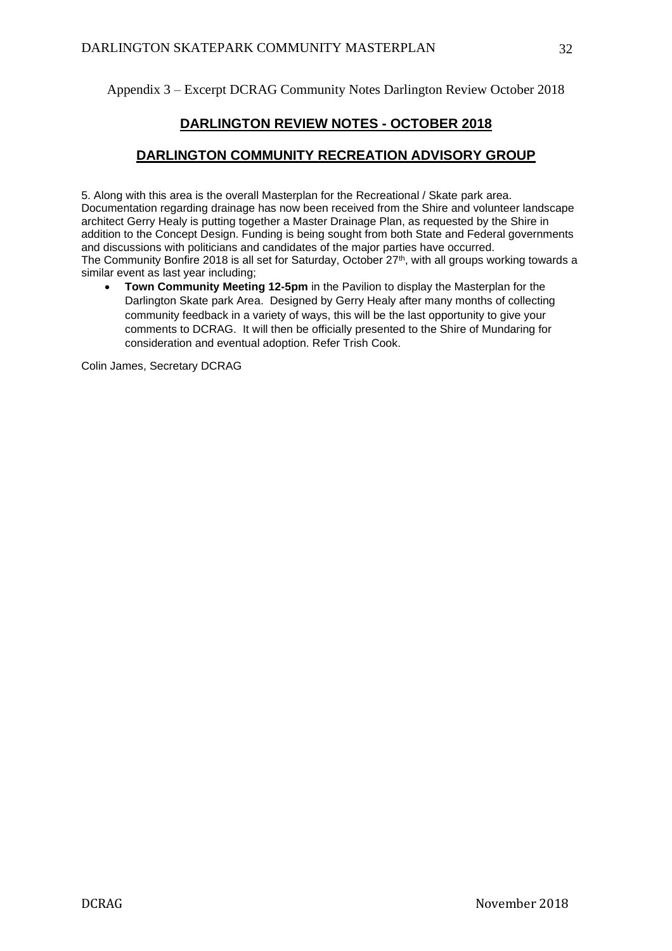Appendix 3 – Excerpt DCRAG Community Notes Darlington Review October 2018

# **DARLINGTON REVIEW NOTES - OCTOBER 2018**

# **DARLINGTON COMMUNITY RECREATION ADVISORY GROUP**

5. Along with this area is the overall Masterplan for the Recreational / Skate park area. Documentation regarding drainage has now been received from the Shire and volunteer landscape architect Gerry Healy is putting together a Master Drainage Plan, as requested by the Shire in addition to the Concept Design. Funding is being sought from both State and Federal governments and discussions with politicians and candidates of the major parties have occurred. The Community Bonfire 2018 is all set for Saturday, October 27<sup>th</sup>, with all groups working towards a similar event as last year including;

**Town Community Meeting 12-5pm** in the Pavilion to display the Masterplan for the Darlington Skate park Area. Designed by Gerry Healy after many months of collecting community feedback in a variety of ways, this will be the last opportunity to give your comments to DCRAG. It will then be officially presented to the Shire of Mundaring for consideration and eventual adoption. Refer Trish Cook.

Colin James, Secretary DCRAG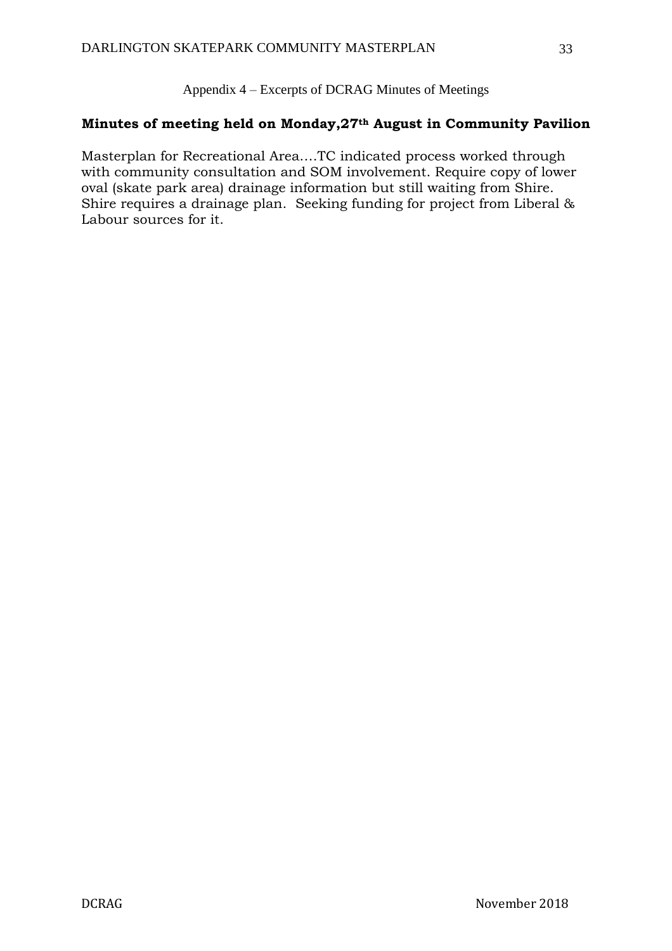Appendix 4 – Excerpts of DCRAG Minutes of Meetings

# **Minutes of meeting held on Monday,27th August in Community Pavilion**

Masterplan for Recreational Area….TC indicated process worked through with community consultation and SOM involvement. Require copy of lower oval (skate park area) drainage information but still waiting from Shire. Shire requires a drainage plan. Seeking funding for project from Liberal & Labour sources for it.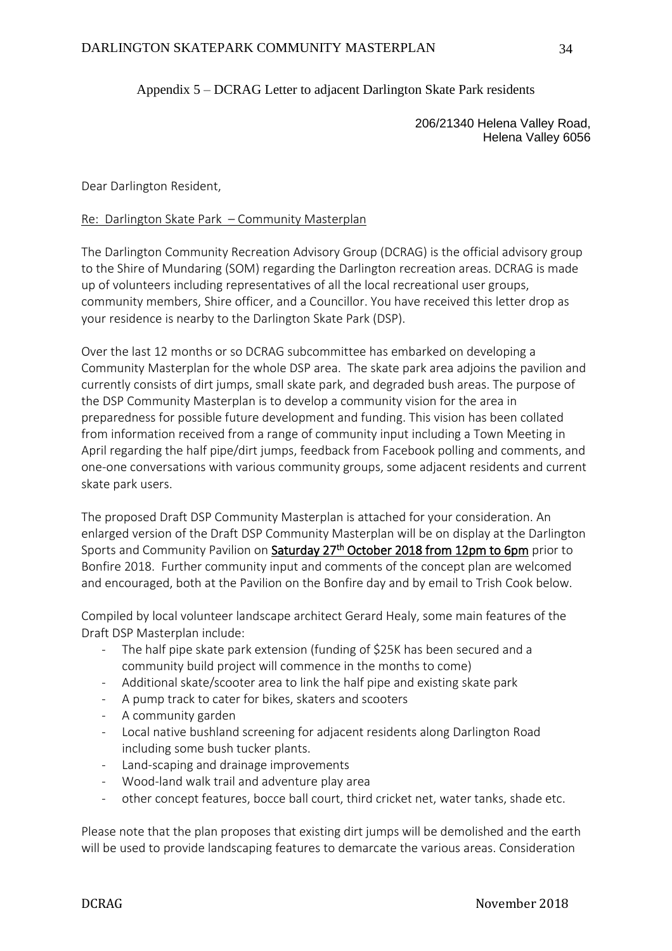# Appendix 5 – DCRAG Letter to adjacent Darlington Skate Park residents

206/21340 Helena Valley Road, Helena Valley 6056

Dear Darlington Resident,

## Re: Darlington Skate Park – Community Masterplan

The Darlington Community Recreation Advisory Group (DCRAG) is the official advisory group to the Shire of Mundaring (SOM) regarding the Darlington recreation areas. DCRAG is made up of volunteers including representatives of all the local recreational user groups, community members, Shire officer, and a Councillor. You have received this letter drop as your residence is nearby to the Darlington Skate Park (DSP).

Over the last 12 months or so DCRAG subcommittee has embarked on developing a Community Masterplan for the whole DSP area. The skate park area adjoins the pavilion and currently consists of dirt jumps, small skate park, and degraded bush areas. The purpose of the DSP Community Masterplan is to develop a community vision for the area in preparedness for possible future development and funding. This vision has been collated from information received from a range of community input including a Town Meeting in April regarding the half pipe/dirt jumps, feedback from Facebook polling and comments, and one-one conversations with various community groups, some adjacent residents and current skate park users.

The proposed Draft DSP Community Masterplan is attached for your consideration. An enlarged version of the Draft DSP Community Masterplan will be on display at the Darlington Sports and Community Pavilion on Saturday 27<sup>th</sup> October 2018 from 12pm to 6pm prior to Bonfire 2018. Further community input and comments of the concept plan are welcomed and encouraged, both at the Pavilion on the Bonfire day and by email to Trish Cook below.

Compiled by local volunteer landscape architect Gerard Healy, some main features of the Draft DSP Masterplan include:

- The half pipe skate park extension (funding of \$25K has been secured and a community build project will commence in the months to come)
- Additional skate/scooter area to link the half pipe and existing skate park
- A pump track to cater for bikes, skaters and scooters
- A community garden
- Local native bushland screening for adjacent residents along Darlington Road including some bush tucker plants.
- Land-scaping and drainage improvements
- Wood-land walk trail and adventure play area
- other concept features, bocce ball court, third cricket net, water tanks, shade etc.

Please note that the plan proposes that existing dirt jumps will be demolished and the earth will be used to provide landscaping features to demarcate the various areas. Consideration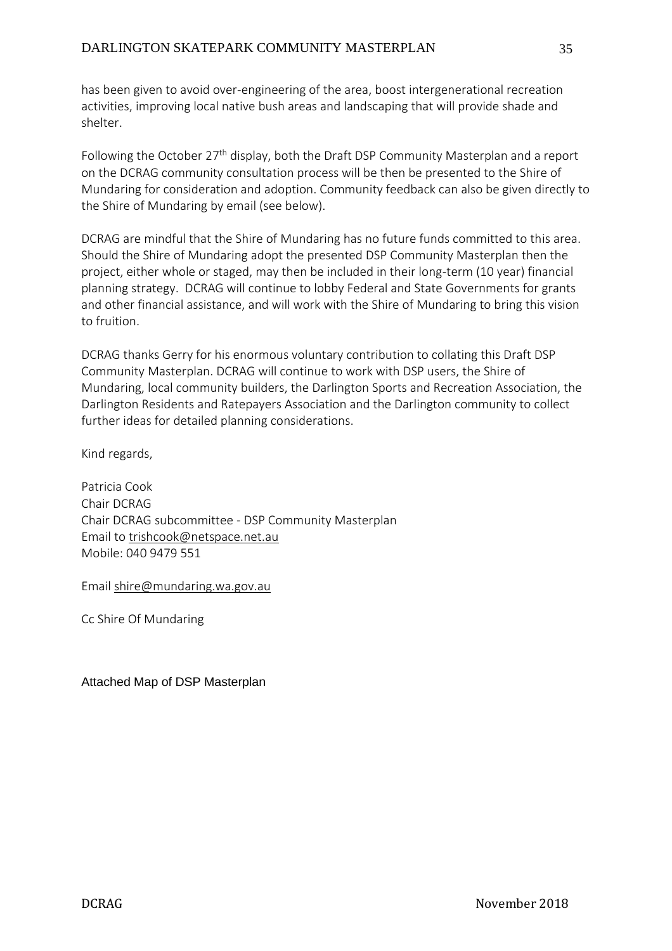has been given to avoid over-engineering of the area, boost intergenerational recreation activities, improving local native bush areas and landscaping that will provide shade and shelter.

Following the October 27<sup>th</sup> display, both the Draft DSP Community Masterplan and a report on the DCRAG community consultation process will be then be presented to the Shire of Mundaring for consideration and adoption. Community feedback can also be given directly to the Shire of Mundaring by email (see below).

DCRAG are mindful that the Shire of Mundaring has no future funds committed to this area. Should the Shire of Mundaring adopt the presented DSP Community Masterplan then the project, either whole or staged, may then be included in their long-term (10 year) financial planning strategy. DCRAG will continue to lobby Federal and State Governments for grants and other financial assistance, and will work with the Shire of Mundaring to bring this vision to fruition.

DCRAG thanks Gerry for his enormous voluntary contribution to collating this Draft DSP Community Masterplan. DCRAG will continue to work with DSP users, the Shire of Mundaring, local community builders, the Darlington Sports and Recreation Association, the Darlington Residents and Ratepayers Association and the Darlington community to collect further ideas for detailed planning considerations.

Kind regards,

Patricia Cook Chair DCRAG Chair DCRAG subcommittee - DSP Community Masterplan Email to [trishcook@netspace.net.au](mailto:trishcook@netspace.net.au) Mobile: 040 9479 551

Email [shire@mundaring.wa.gov.au](mailto:shire@mundaring.wa.gov.au)

Cc Shire Of Mundaring

Attached Map of DSP Masterplan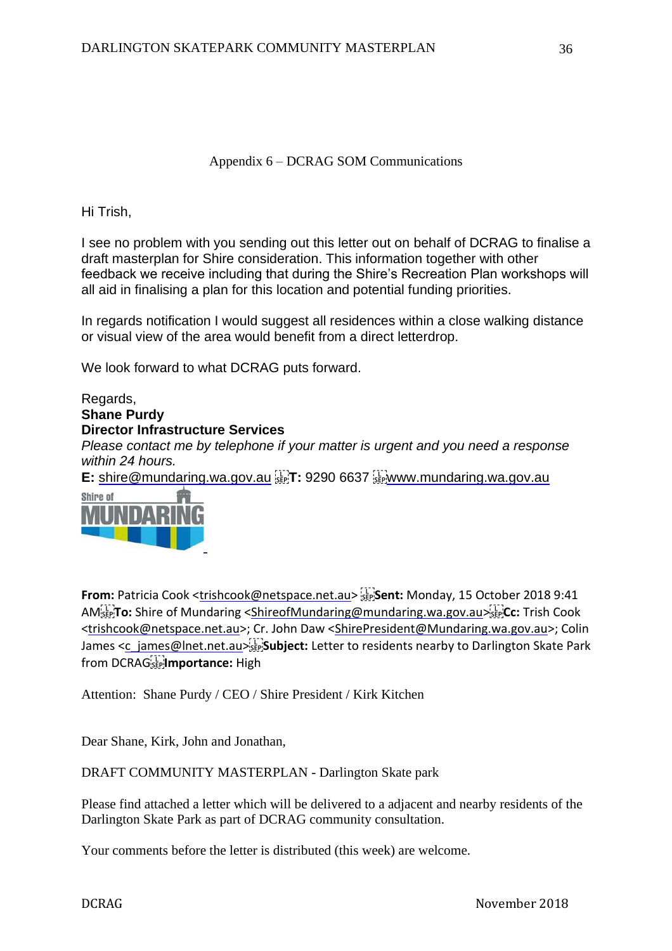# Appendix 6 – DCRAG SOM Communications

Hi Trish,

I see no problem with you sending out this letter out on behalf of DCRAG to finalise a draft masterplan for Shire consideration. This information together with other feedback we receive including that during the Shire's Recreation Plan workshops will all aid in finalising a plan for this location and potential funding priorities.

In regards notification I would suggest all residences within a close walking distance or visual view of the area would benefit from a direct letterdrop.

We look forward to what DCRAG puts forward.

Regards, **Shane Purdy Director Infrastructure Services** *Please contact me by telephone if your matter is urgent and you need a response within 24 hours.* **E:** [shire@mundaring.wa.gov.au](mailto:shire@mundaring.wa.gov.au) steel. 9290 6637 steel[www.mundaring.wa.gov.au](http://www.mundaring.wa.gov.au/) **Shire of** 



**From:** Patricia Cook [<trishcook@netspace.net.au>](mailto:trishcook@netspace.net.au) sent: Monday, 15 October 2018 9:41 AM **To:** Shire of Mundaring [<ShireofMundaring@mundaring.wa.gov.au>](mailto:ShireofMundaring@mundaring.wa.gov.au) **Cc:** Trish Cook [<trishcook@netspace.net.au>](mailto:trishcook@netspace.net.au); Cr. John Daw [<ShirePresident@Mundaring.wa.gov.au>](mailto:ShirePresident@Mundaring.wa.gov.au); Colin James [<c\\_james@lnet.net.au>](mailto:c_james@lnet.net.au)[1] Subject: Letter to residents nearby to Darlington Skate Park from DCRAG<sup>[17</sup>]**mportance:** High

Attention: Shane Purdy / CEO / Shire President / Kirk Kitchen

Dear Shane, Kirk, John and Jonathan,

DRAFT COMMUNITY MASTERPLAN - Darlington Skate park

Please find attached a letter which will be delivered to a adjacent and nearby residents of the Darlington Skate Park as part of DCRAG community consultation.

Your comments before the letter is distributed (this week) are welcome.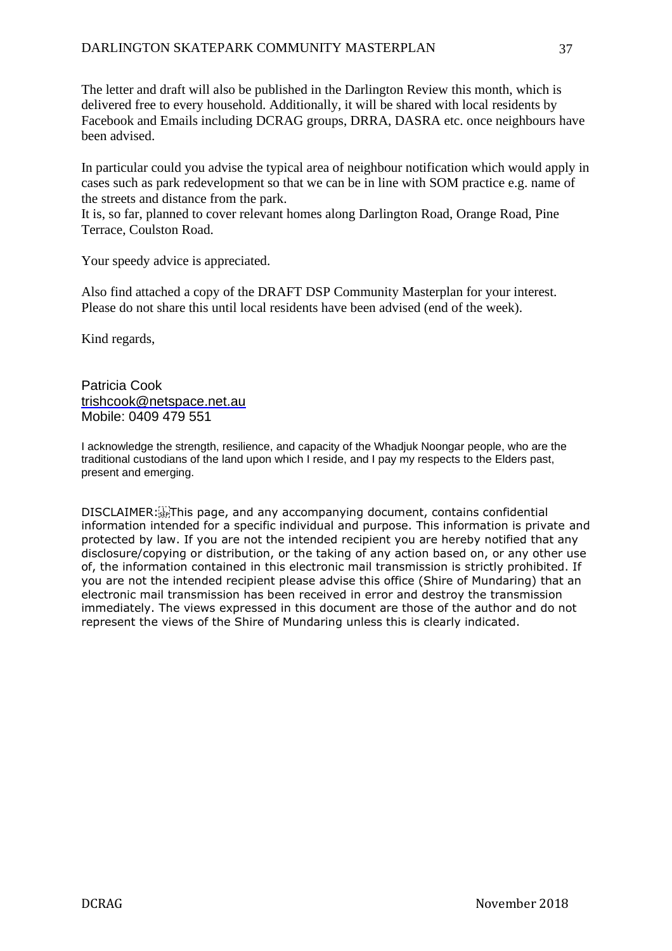The letter and draft will also be published in the Darlington Review this month, which is delivered free to every household. Additionally, it will be shared with local residents by Facebook and Emails including DCRAG groups, DRRA, DASRA etc. once neighbours have been advised.

In particular could you advise the typical area of neighbour notification which would apply in cases such as park redevelopment so that we can be in line with SOM practice e.g. name of the streets and distance from the park.

It is, so far, planned to cover relevant homes along Darlington Road, Orange Road, Pine Terrace, Coulston Road.

Your speedy advice is appreciated.

Also find attached a copy of the DRAFT DSP Community Masterplan for your interest. Please do not share this until local residents have been advised (end of the week).

Kind regards,

Patricia Cook [trishcook@netspace.net.au](mailto:trishcook@netspace.net.au) Mobile: 0409 479 551

I acknowledge the strength, resilience, and capacity of the Whadjuk Noongar people, who are the traditional custodians of the land upon which I reside, and I pay my respects to the Elders past, present and emerging.

DISCLAIMER: This page, and any accompanying document, contains confidential information intended for a specific individual and purpose. This information is private and protected by law. If you are not the intended recipient you are hereby notified that any disclosure/copying or distribution, or the taking of any action based on, or any other use of, the information contained in this electronic mail transmission is strictly prohibited. If you are not the intended recipient please advise this office (Shire of Mundaring) that an electronic mail transmission has been received in error and destroy the transmission immediately. The views expressed in this document are those of the author and do not represent the views of the Shire of Mundaring unless this is clearly indicated.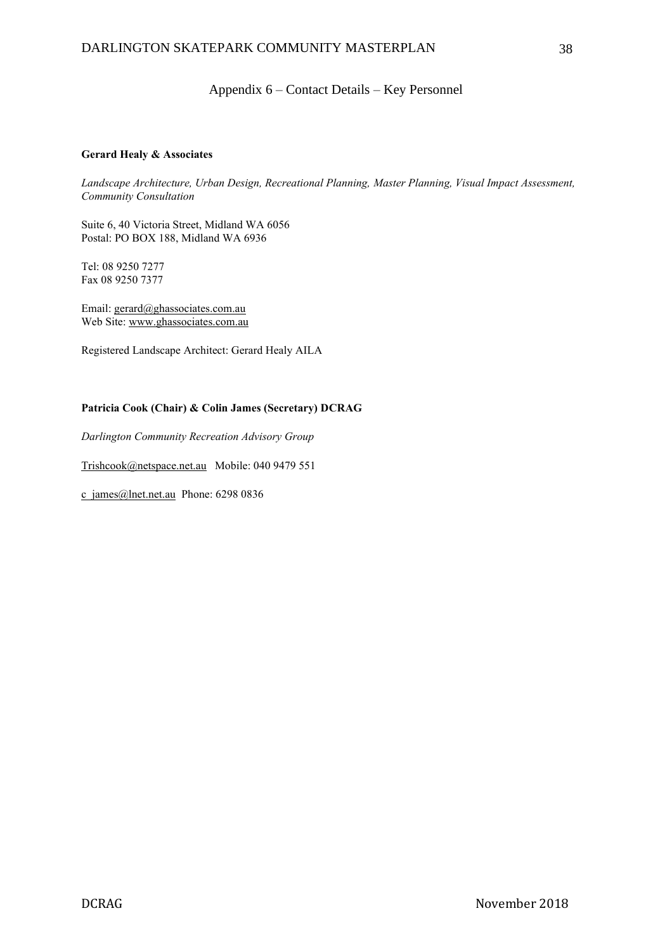## Appendix 6 – Contact Details – Key Personnel

#### **Gerard Healy & Associates**

*Landscape Architecture, Urban Design, Recreational Planning, Master Planning, Visual Impact Assessment, Community Consultation*

Suite 6, 40 Victoria Street, Midland WA 6056 Postal: PO BOX 188, Midland WA 6936

Tel: 08 9250 7277 Fax 08 9250 7377

Email: [gerard@ghassociates.com.au](mailto:gerard@ghassociates.com.au) Web Site: [www.ghassociates.com.au](http://www.ghassociates.com.au/)

Registered Landscape Architect: Gerard Healy AILA

#### **Patricia Cook (Chair) & Colin James (Secretary) DCRAG**

*Darlington Community Recreation Advisory Group*

[Trishcook@netspace.net.au](mailto:Trishcook@netspace.net.au) Mobile: 040 9479 551

[c\\_james@lnet.net.au](mailto:c_james@lnet.net.au) Phone: 6298 0836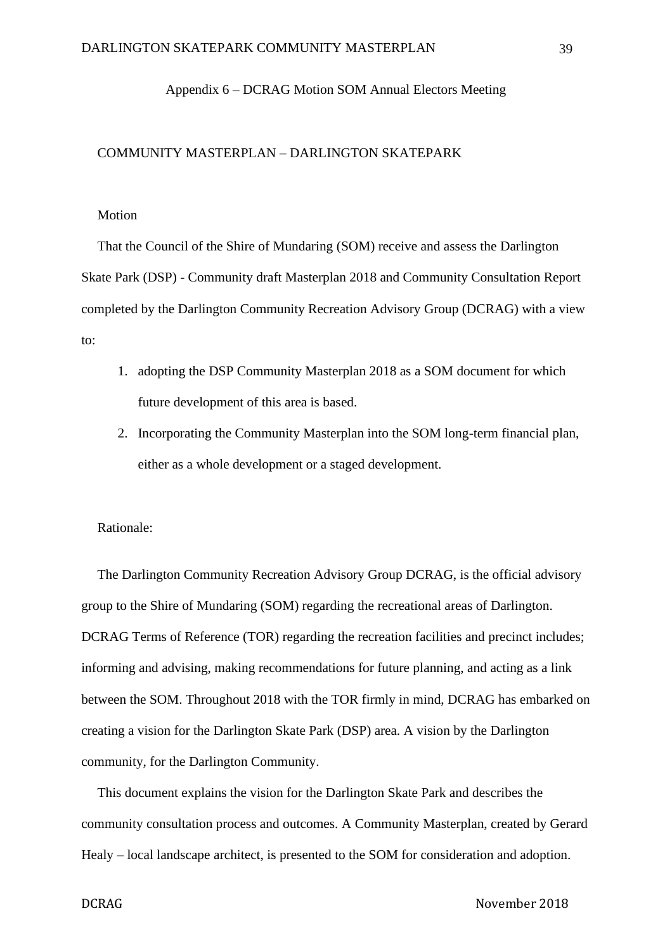## Appendix 6 – DCRAG Motion SOM Annual Electors Meeting

## COMMUNITY MASTERPLAN – DARLINGTON SKATEPARK

### Motion

That the Council of the Shire of Mundaring (SOM) receive and assess the Darlington Skate Park (DSP) - Community draft Masterplan 2018 and Community Consultation Report completed by the Darlington Community Recreation Advisory Group (DCRAG) with a view to:

- 1. adopting the DSP Community Masterplan 2018 as a SOM document for which future development of this area is based.
- 2. Incorporating the Community Masterplan into the SOM long-term financial plan, either as a whole development or a staged development.

## Rationale:

The Darlington Community Recreation Advisory Group DCRAG, is the official advisory group to the Shire of Mundaring (SOM) regarding the recreational areas of Darlington. DCRAG Terms of Reference (TOR) regarding the recreation facilities and precinct includes; informing and advising, making recommendations for future planning, and acting as a link between the SOM. Throughout 2018 with the TOR firmly in mind, DCRAG has embarked on creating a vision for the Darlington Skate Park (DSP) area. A vision by the Darlington community, for the Darlington Community.

This document explains the vision for the Darlington Skate Park and describes the community consultation process and outcomes. A Community Masterplan, created by Gerard Healy – local landscape architect, is presented to the SOM for consideration and adoption.